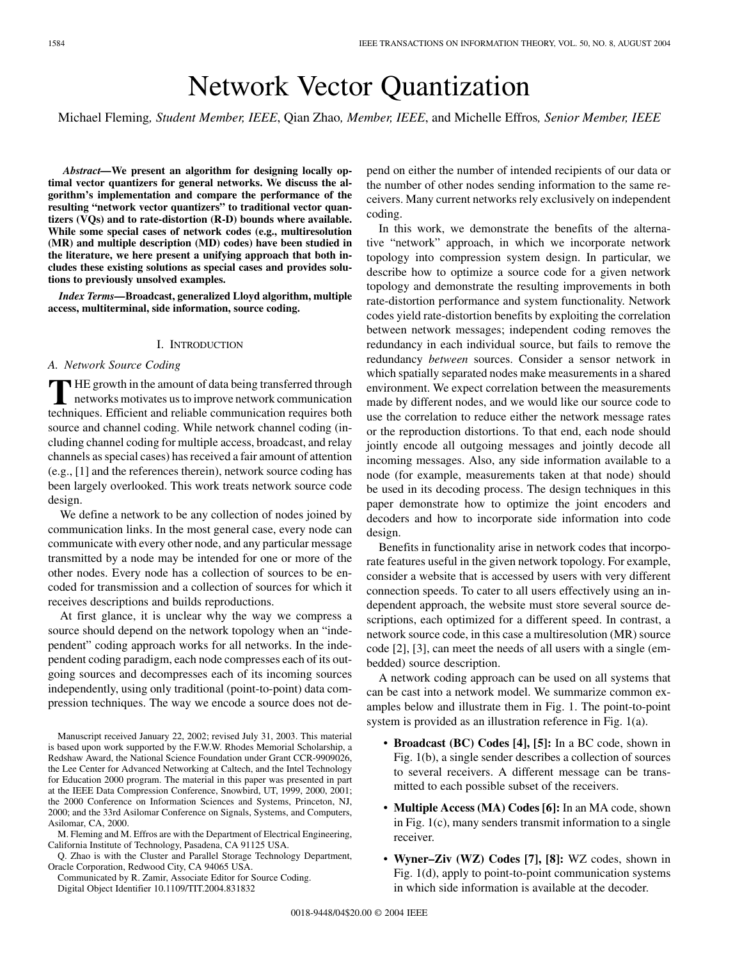# Network Vector Quantization

Michael Fleming*, Student Member, IEEE*, Qian Zhao*, Member, IEEE*, and Michelle Effros*, Senior Member, IEEE*

*Abstract—***We present an algorithm for designing locally optimal vector quantizers for general networks. We discuss the algorithm's implementation and compare the performance of the resulting "network vector quantizers" to traditional vector quantizers (VQs) and to rate-distortion (R-D) bounds where available. While some special cases of network codes (e.g., multiresolution (MR) and multiple description (MD) codes) have been studied in the literature, we here present a unifying approach that both includes these existing solutions as special cases and provides solutions to previously unsolved examples.**

*Index Terms—***Broadcast, generalized Lloyd algorithm, multiple access, multiterminal, side information, source coding.**

#### I. INTRODUCTION

## *A. Network Source Coding*

**T** HE growth in the amount of data being transferred through networks motivates us to improve network communication techniques. Efficient and reliable communication requires both source and channel coding. While network channel coding (including channel coding for multiple access, broadcast, and relay channels as special cases) has received a fair amount of attention (e.g., [\[1](#page-19-0)] and the references therein), network source coding has been largely overlooked. This work treats network source code design.

We define a network to be any collection of nodes joined by communication links. In the most general case, every node can communicate with every other node, and any particular message transmitted by a node may be intended for one or more of the other nodes. Every node has a collection of sources to be encoded for transmission and a collection of sources for which it receives descriptions and builds reproductions.

At first glance, it is unclear why the way we compress a source should depend on the network topology when an "independent" coding approach works for all networks. In the independent coding paradigm, each node compresses each of its outgoing sources and decompresses each of its incoming sources independently, using only traditional (point-to-point) data compression techniques. The way we encode a source does not de-

Manuscript received January 22, 2002; revised July 31, 2003. This material is based upon work supported by the F.W.W. Rhodes Memorial Scholarship, a Redshaw Award, the National Science Foundation under Grant CCR-9909026, the Lee Center for Advanced Networking at Caltech, and the Intel Technology for Education 2000 program. The material in this paper was presented in part at the IEEE Data Compression Conference, Snowbird, UT, 1999, 2000, 2001; the 2000 Conference on Information Sciences and Systems, Princeton, NJ, 2000; and the 33rd Asilomar Conference on Signals, Systems, and Computers, Asilomar, CA, 2000.

M. Fleming and M. Effros are with the Department of Electrical Engineering, California Institute of Technology, Pasadena, CA 91125 USA.

Q. Zhao is with the Cluster and Parallel Storage Technology Department, Oracle Corporation, Redwood City, CA 94065 USA.

Communicated by R. Zamir, Associate Editor for Source Coding. Digital Object Identifier 10.1109/TIT.2004.831832

pend on either the number of intended recipients of our data or the number of other nodes sending information to the same receivers. Many current networks rely exclusively on independent coding.

In this work, we demonstrate the benefits of the alternative "network" approach, in which we incorporate network topology into compression system design. In particular, we describe how to optimize a source code for a given network topology and demonstrate the resulting improvements in both rate-distortion performance and system functionality. Network codes yield rate-distortion benefits by exploiting the correlation between network messages; independent coding removes the redundancy in each individual source, but fails to remove the redundancy *between* sources. Consider a sensor network in which spatially separated nodes make measurements in a shared environment. We expect correlation between the measurements made by different nodes, and we would like our source code to use the correlation to reduce either the network message rates or the reproduction distortions. To that end, each node should jointly encode all outgoing messages and jointly decode all incoming messages. Also, any side information available to a node (for example, measurements taken at that node) should be used in its decoding process. The design techniques in this paper demonstrate how to optimize the joint encoders and decoders and how to incorporate side information into code design.

Benefits in functionality arise in network codes that incorporate features useful in the given network topology. For example, consider a website that is accessed by users with very different connection speeds. To cater to all users effectively using an independent approach, the website must store several source descriptions, each optimized for a different speed. In contrast, a network source code, in this case a multiresolution (MR) source code [\[2](#page-19-0)], [[3\]](#page-19-0), can meet the needs of all users with a single (embedded) source description.

A network coding approach can be used on all systems that can be cast into a network model. We summarize common examples below and illustrate them in Fig. 1. The point-to-point system is provided as an illustration reference in Fig. 1(a).

- **Broadcast (BC) Codes [[4\]](#page-19-0), [[5\]](#page-19-0):** In a BC code, shown in Fig. 1(b), a single sender describes a collection of sources to several receivers. A different message can be transmitted to each possible subset of the receivers.
- **Multiple Access (MA) Codes [[6\]](#page-19-0):** In an MA code, shown in Fig. 1(c), many senders transmit information to a single receiver.
- **Wyner–Ziv (WZ) Codes [\[7](#page-19-0)], [[8\]](#page-19-0):** WZ codes, shown in Fig. 1(d), apply to point-to-point communication systems in which side information is available at the decoder.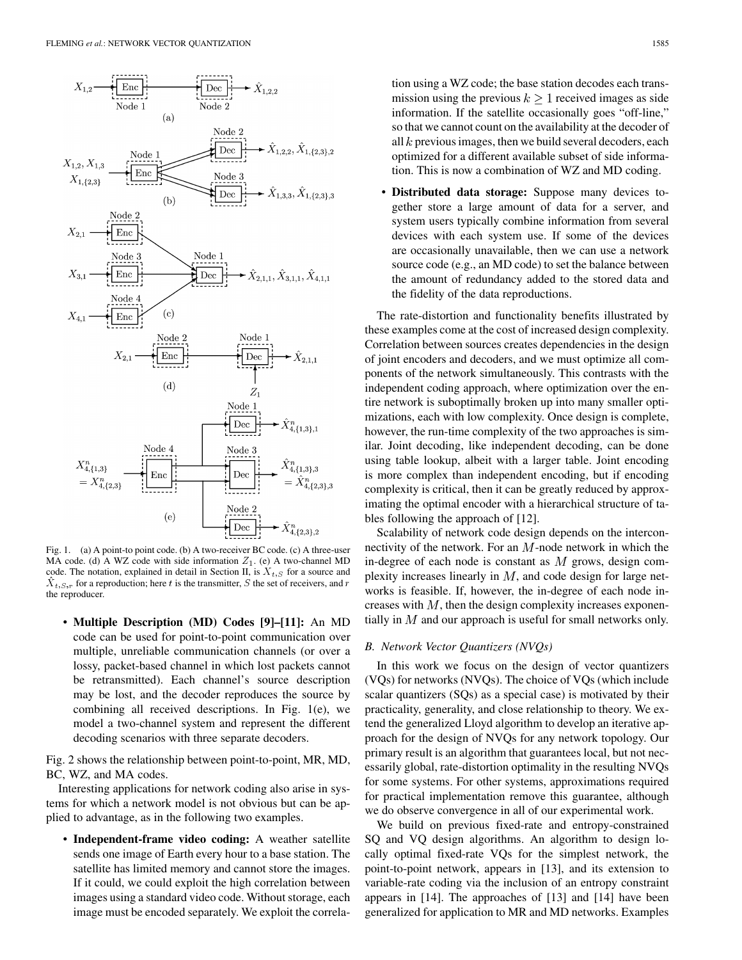

Fig. 1. (a) A point-to point code. (b) A two-receiver BC code. (c) A three-user MA code. (d) A WZ code with side information  $Z_1$ . (e) A two-channel MD code. The notation, explained in detail in Section II, is  $X_{t,S}$  for a source and  $X_{t, S, r}$  for a reproduction; here t is the transmitter, S the set of receivers, and r the reproducer.

• **Multiple Description (MD) Codes [\[9](#page-19-0)]–[[11\]](#page-19-0):** An MD code can be used for point-to-point communication over multiple, unreliable communication channels (or over a lossy, packet-based channel in which lost packets cannot be retransmitted). Each channel's source description may be lost, and the decoder reproduces the source by combining all received descriptions. In Fig. 1(e), we model a two-channel system and represent the different decoding scenarios with three separate decoders.

Fig. 2 shows the relationship between point-to-point, MR, MD, BC, WZ, and MA codes.

Interesting applications for network coding also arise in systems for which a network model is not obvious but can be applied to advantage, as in the following two examples.

• **Independent-frame video coding:** A weather satellite sends one image of Earth every hour to a base station. The satellite has limited memory and cannot store the images. If it could, we could exploit the high correlation between images using a standard video code. Without storage, each image must be encoded separately. We exploit the correla-

tion using a WZ code; the base station decodes each transmission using the previous  $k \geq 1$  received images as side information. If the satellite occasionally goes "off-line," so that we cannot count on the availability at the decoder of all  $k$  previous images, then we build several decoders, each optimized for a different available subset of side information. This is now a combination of WZ and MD coding.

• **Distributed data storage:** Suppose many devices together store a large amount of data for a server, and system users typically combine information from several devices with each system use. If some of the devices are occasionally unavailable, then we can use a network source code (e.g., an MD code) to set the balance between the amount of redundancy added to the stored data and the fidelity of the data reproductions.

The rate-distortion and functionality benefits illustrated by these examples come at the cost of increased design complexity. Correlation between sources creates dependencies in the design of joint encoders and decoders, and we must optimize all components of the network simultaneously. This contrasts with the independent coding approach, where optimization over the entire network is suboptimally broken up into many smaller optimizations, each with low complexity. Once design is complete, however, the run-time complexity of the two approaches is similar. Joint decoding, like independent decoding, can be done using table lookup, albeit with a larger table. Joint encoding is more complex than independent encoding, but if encoding complexity is critical, then it can be greatly reduced by approximating the optimal encoder with a hierarchical structure of tables following the approach of [[12\]](#page-19-0).

Scalability of network code design depends on the interconnectivity of the network. For an  $M$ -node network in which the in-degree of each node is constant as  $M$  grows, design complexity increases linearly in  $M$ , and code design for large networks is feasible. If, however, the in-degree of each node increases with  $M$ , then the design complexity increases exponentially in  $M$  and our approach is useful for small networks only.

## *B. Network Vector Quantizers (NVQs)*

In this work we focus on the design of vector quantizers (VQs) for networks (NVQs). The choice of VQs (which include scalar quantizers (SQs) as a special case) is motivated by their practicality, generality, and close relationship to theory. We extend the generalized Lloyd algorithm to develop an iterative approach for the design of NVQs for any network topology. Our primary result is an algorithm that guarantees local, but not necessarily global, rate-distortion optimality in the resulting NVQs for some systems. For other systems, approximations required for practical implementation remove this guarantee, although we do observe convergence in all of our experimental work.

We build on previous fixed-rate and entropy-constrained SQ and VQ design algorithms. An algorithm to design locally optimal fixed-rate VQs for the simplest network, the point-to-point network, appears in [[13\]](#page-19-0), and its extension to variable-rate coding via the inclusion of an entropy constraint appears in [[14\]](#page-19-0). The approaches of [[13](#page-19-0)] and [[14\]](#page-19-0) have been generalized for application to MR and MD networks. Examples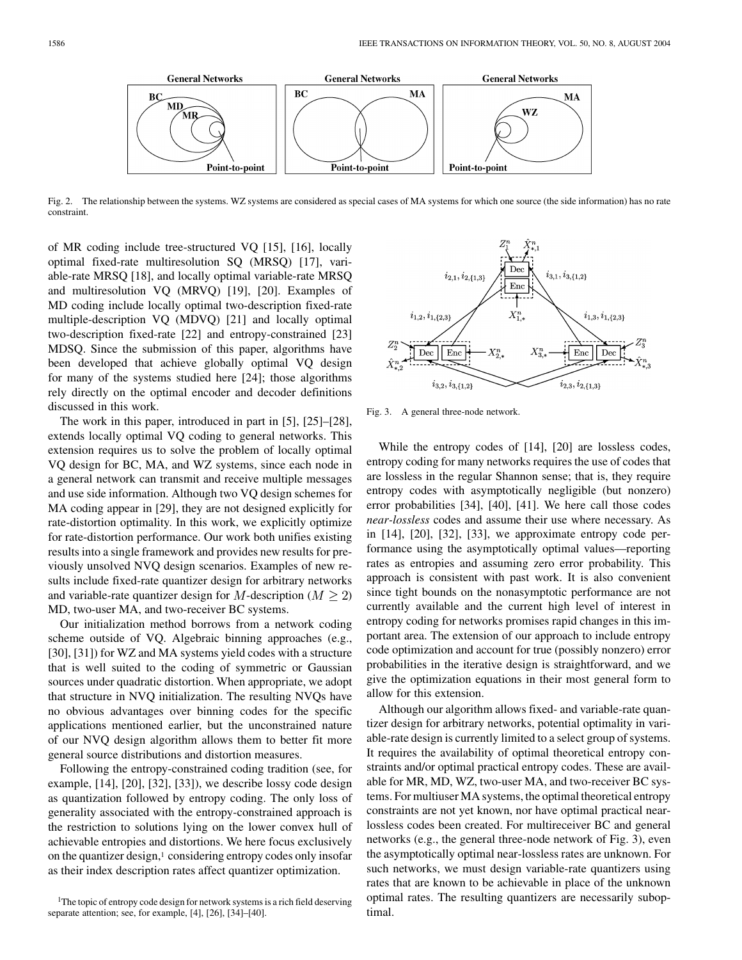

Fig. 2. The relationship between the systems. WZ systems are considered as special cases of MA systems for which one source (the side information) has no rate constraint.

of MR coding include tree-structured VQ [\[15](#page-19-0)], [[16\]](#page-19-0), locally optimal fixed-rate multiresolution SQ (MRSQ) [\[17](#page-19-0)], variable-rate MRSQ [\[18](#page-19-0)], and locally optimal variable-rate MRSQ and multiresolution VQ (MRVQ) [\[19](#page-19-0)], [[20\]](#page-19-0). Examples of MD coding include locally optimal two-description fixed-rate multiple-description VQ (MDVQ) [\[21](#page-19-0)] and locally optimal two-description fixed-rate [[22\]](#page-19-0) and entropy-constrained [\[23](#page-19-0)] MDSQ. Since the submission of this paper, algorithms have been developed that achieve globally optimal VQ design for many of the systems studied here [[24\]](#page-19-0); those algorithms rely directly on the optimal encoder and decoder definitions discussed in this work.

The work in this paper, introduced in part in [\[5](#page-19-0)], [\[25](#page-20-0)]–[[28\]](#page-20-0), extends locally optimal VQ coding to general networks. This extension requires us to solve the problem of locally optimal VQ design for BC, MA, and WZ systems, since each node in a general network can transmit and receive multiple messages and use side information. Although two VQ design schemes for MA coding appear in [[29\]](#page-20-0), they are not designed explicitly for rate-distortion optimality. In this work, we explicitly optimize for rate-distortion performance. Our work both unifies existing results into a single framework and provides new results for previously unsolved NVQ design scenarios. Examples of new results include fixed-rate quantizer design for arbitrary networks and variable-rate quantizer design for  $M$ -description ( $M > 2$ ) MD, two-user MA, and two-receiver BC systems.

Our initialization method borrows from a network coding scheme outside of VQ. Algebraic binning approaches (e.g., [[30\]](#page-20-0), [\[31](#page-20-0)]) for WZ and MA systems yield codes with a structure that is well suited to the coding of symmetric or Gaussian sources under quadratic distortion. When appropriate, we adopt that structure in NVQ initialization. The resulting NVQs have no obvious advantages over binning codes for the specific applications mentioned earlier, but the unconstrained nature of our NVQ design algorithm allows them to better fit more general source distributions and distortion measures.

Following the entropy-constrained coding tradition (see, for example, [[14\]](#page-19-0), [[20\]](#page-19-0), [[32\]](#page-20-0), [\[33](#page-20-0)]), we describe lossy code design as quantization followed by entropy coding. The only loss of generality associated with the entropy-constrained approach is the restriction to solutions lying on the lower convex hull of achievable entropies and distortions. We here focus exclusively on the quantizer design,<sup>1</sup> considering entropy codes only insofar as their index description rates affect quantizer optimization.



Fig. 3. A general three-node network.

While the entropy codes of [[14\]](#page-19-0), [\[20](#page-19-0)] are lossless codes, entropy coding for many networks requires the use of codes that are lossless in the regular Shannon sense; that is, they require entropy codes with asymptotically negligible (but nonzero) error probabilities [\[34](#page-20-0)], [\[40](#page-20-0)], [\[41](#page-20-0)]. We here call those codes *near-lossless* codes and assume their use where necessary. As in [\[14](#page-19-0)], [[20\]](#page-19-0), [\[32](#page-20-0)], [[33\]](#page-20-0), we approximate entropy code performance using the asymptotically optimal values—reporting rates as entropies and assuming zero error probability. This approach is consistent with past work. It is also convenient since tight bounds on the nonasymptotic performance are not currently available and the current high level of interest in entropy coding for networks promises rapid changes in this important area. The extension of our approach to include entropy code optimization and account for true (possibly nonzero) error probabilities in the iterative design is straightforward, and we give the optimization equations in their most general form to allow for this extension.

Although our algorithm allows fixed- and variable-rate quantizer design for arbitrary networks, potential optimality in variable-rate design is currently limited to a select group of systems. It requires the availability of optimal theoretical entropy constraints and/or optimal practical entropy codes. These are available for MR, MD, WZ, two-user MA, and two-receiver BC systems. For multiuser MA systems, the optimal theoretical entropy constraints are not yet known, nor have optimal practical nearlossless codes been created. For multireceiver BC and general networks (e.g., the general three-node network of Fig. 3), even the asymptotically optimal near-lossless rates are unknown. For such networks, we must design variable-rate quantizers using rates that are known to be achievable in place of the unknown optimal rates. The resulting quantizers are necessarily suboptimal.

<sup>&</sup>lt;sup>1</sup>The topic of entropy code design for network systems is a rich field deserving separate attention; see, for example, [\[4](#page-19-0)], [[26\]](#page-20-0), [\[34](#page-20-0)]–[[40\]](#page-20-0).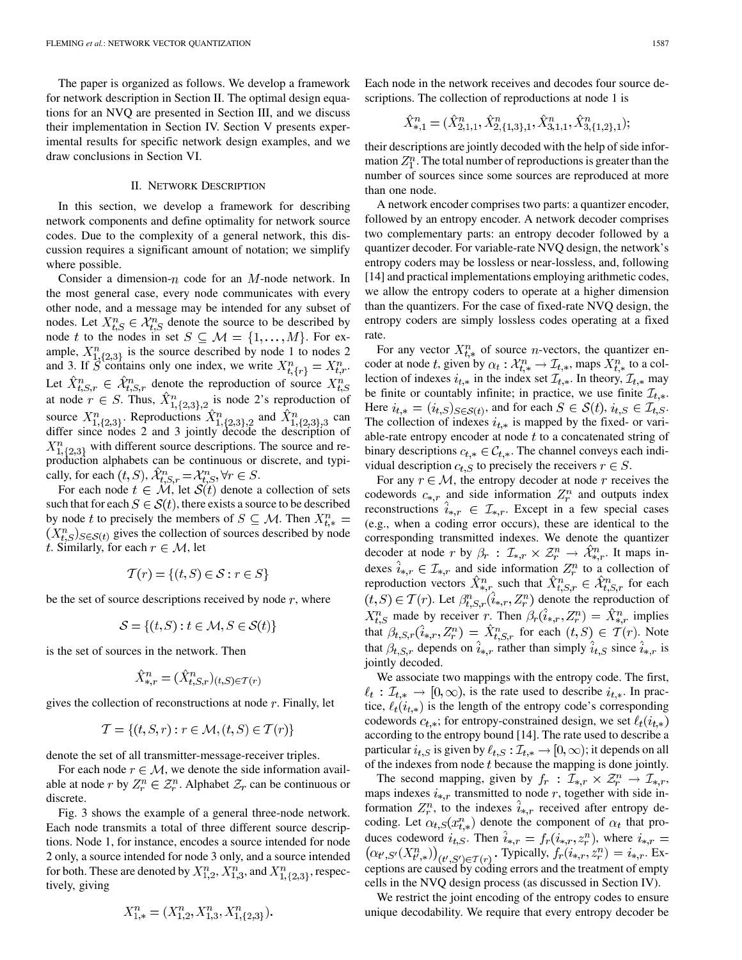The paper is organized as follows. We develop a framework for network description in Section II. The optimal design equations for an NVQ are presented in Section III, and we discuss their implementation in Section IV. Section V presents experimental results for specific network design examples, and we draw conclusions in Section VI.

## II. NETWORK DESCRIPTION

In this section, we develop a framework for describing network components and define optimality for network source codes. Due to the complexity of a general network, this discussion requires a significant amount of notation; we simplify where possible.

Consider a dimension- $n$  code for an  $M$ -node network. In the most general case, every node communicates with every other node, and a message may be intended for any subset of nodes. Let  $X_{t,S}^n \in \mathcal{X}_{t,S}^n$  denote the source to be described by node t to the nodes in set  $S \subseteq \mathcal{M} = \{1, ..., M\}$ . For example,  $X_{1, \{2,3\}}^n$  is the source described by node 1 to nodes 2 and 3. If S contains only one index, we write  $X_{t, \{r\}}^n = X_{t,r}^n$ . Let  $\hat{X}_{t,S,r}^n \in \hat{\mathcal{X}}_{t,S,r}^n$  denote the reproduction of source  $X_{t,S}^n$ at node  $r \in S$ . Thus,  $\hat{X}_{1,\{2,3\},2}^n$  is node 2's reproduction of source  $X_{1,\{2,3\}}^n$ . Reproductions  $\hat{X}_{1,\{2,3\},2}^n$  and  $\hat{X}_{1,\{2,3\},3}^n$  can differ since nodes 2 and 3 jointly decode the description of  $X_{1}^{n}$  (2.3) with different source descriptions. The source and reproduction alphabets can be continuous or discrete, and typically, for each  $(t, S)$ ,  $\hat{\mathcal{X}}_{t, S,r}^n = \mathcal{X}_{t, S}^n$ ,  $\forall r \in S$ .

For each node  $t \in M$ , let  $S(t)$  denote a collection of sets such that for each  $S \in \mathcal{S}(t)$ , there exists a source to be described by node t to precisely the members of  $S \subseteq M$ . Then  $X_{t,*}^n =$  $(X_{t,S}^{n})_{S \in \mathcal{S}(t)}$  gives the collection of sources described by node t. Similarly, for each  $r \in \mathcal{M}$ , let

$$
\mathcal{T}(r) = \{(t, S) \in \mathcal{S} : r \in S\}
$$

be the set of source descriptions received by node  $r$ , where

$$
\mathcal{S} = \{(t, S) : t \in \mathcal{M}, S \in \mathcal{S}(t)\}
$$

is the set of sources in the network. Then

$$
\hat{X}_{*,r}^n = (\hat{X}_{t,S,r}^n)_{(t,S)\in\mathcal{T}(r)}
$$

gives the collection of reconstructions at node  $r$ . Finally, let

$$
\mathcal{T} = \{(t, S, r) : r \in \mathcal{M}, (t, S) \in \mathcal{T}(r)\}
$$

denote the set of all transmitter-message-receiver triples.

For each node  $r \in \mathcal{M}$ , we denote the side information available at node r by  $Z_r^n \in \mathcal{Z}_r^n$ . Alphabet  $\mathcal{Z}_r$  can be continuous or discrete.

Fig. 3 shows the example of a general three-node network. Each node transmits a total of three different source descriptions. Node 1, for instance, encodes a source intended for node 2 only, a source intended for node 3 only, and a source intended for both. These are denoted by  $X_{1,2}^n$ ,  $X_{1,3}^n$ , and  $X_{1,\{2,3\}}^n$ , respectively, giving

$$
X_{1,*}^n = (X_{1,2}^n, X_{1,3}^n, X_{1,\{2,3\}}^n).
$$

Each node in the network receives and decodes four source descriptions. The collection of reproductions at node 1 is

$$
\hat{X}_{*,1}^n = (\hat{X}_{2,1,1}^n, \hat{X}_{2,\{1,3\},1}^n, \hat{X}_{3,1,1}^n, \hat{X}_{3,\{1,2\},1}^n);
$$

their descriptions are jointly decoded with the help of side information  $Z_1^n$ . The total number of reproductions is greater than the number of sources since some sources are reproduced at more than one node.

A network encoder comprises two parts: a quantizer encoder, followed by an entropy encoder. A network decoder comprises two complementary parts: an entropy decoder followed by a quantizer decoder. For variable-rate NVQ design, the network's entropy coders may be lossless or near-lossless, and, following [\[14](#page-19-0)] and practical implementations employing arithmetic codes, we allow the entropy coders to operate at a higher dimension than the quantizers. For the case of fixed-rate NVQ design, the entropy coders are simply lossless codes operating at a fixed rate.

For any vector  $X_{t,*}^n$  of source *n*-vectors, the quantizer encoder at node t, given by  $\alpha_t : \mathcal{X}_{t,*}^n \to \mathcal{I}_{t,*}$ , maps  $X_{t,*}^n$  to a collection of indexes  $i_{t,*}$  in the index set  $\mathcal{I}_{t,*}$ . In theory,  $\mathcal{I}_{t,*}$  may be finite or countably infinite; in practice, we use finite  $\mathcal{I}_{t,*}$ . Here  $i_{t,*} = (i_{t,S})_{S \in S(t)}$ , and for each  $S \in S(t)$ ,  $i_{t,S} \in \mathcal{I}_{t,S}$ . The collection of indexes  $i_{t,*}$  is mapped by the fixed- or variable-rate entropy encoder at node  $t$  to a concatenated string of binary descriptions  $c_{t,*} \in C_{t,*}$ . The channel conveys each individual description  $c_{t,S}$  to precisely the receivers  $r \in S$ .

For any  $r \in \mathcal{M}$ , the entropy decoder at node r receives the codewords  $c_{*,r}$  and side information  $Z_r^n$  and outputs index reconstructions  $\hat{i}_{*,r} \in \mathcal{I}_{*,r}$ . Except in a few special cases (e.g., when a coding error occurs), these are identical to the corresponding transmitted indexes. We denote the quantizer decoder at node r by  $\beta_r$ :  $\mathcal{I}_{*,r} \times \mathcal{Z}_r^n \rightarrow \hat{\mathcal{X}}_{*,r}^n$ . It maps indexes  $\hat{i}_{*,r} \in \mathcal{I}_{*,r}$  and side information  $Z_r^n$  to a collection of reproduction vectors  $\hat{X}_{*,r}^n$  such that  $\hat{X}_{t,S,r}^n \in \hat{\mathcal{X}}_{t,S,r}^n$  for each  $(t, S) \in \mathcal{T}(r)$ . Let  $\beta_{t, S, r}^n(\hat{i}_{*,r}, Z_r^n)$  denote the reproduction of  $X_{t,S}^n$  made by receiver r. Then  $\beta_r(\hat{i}_{*,r}, Z_r^n) = \hat{X}_{*,r}^n$  implies that  $\beta_{t,S,r}(\hat{i}_{*,r}, Z_r^n) = \hat{X}_{t,S,r}^n$  for each  $(t, S) \in \mathcal{T}(r)$ . Note that  $\beta_{t,S,r}$  depends on  $\hat{i}_{*,r}$  rather than simply  $\hat{i}_{t,S}$  since  $\hat{i}_{*,r}$  is jointly decoded.

We associate two mappings with the entropy code. The first,  $\ell_t : \mathcal{I}_{t,*} \to [0,\infty)$ , is the rate used to describe  $i_{t,*}$ . In practice,  $\ell_t(i_{t,*})$  is the length of the entropy code's corresponding codewords  $c_{t,*}$ ; for entropy-constrained design, we set  $\ell_t(i_{t,*})$ according to the entropy bound [[14\]](#page-19-0). The rate used to describe a particular  $i_{t,S}$  is given by  $\ell_{t,S} : \mathcal{I}_{t,*} \to [0,\infty)$ ; it depends on all of the indexes from node  $t$  because the mapping is done jointly.

The second mapping, given by  $f_r$ :  $\mathcal{I}_{*,r} \times \mathcal{Z}_r^n \to \mathcal{I}_{*,r}$ , maps indexes  $i_{*,r}$  transmitted to node r, together with side information  $Z_r^n$ , to the indexes  $\hat{i}_{*,r}$  received after entropy decoding. Let  $\alpha_{t,s}(x_{t,*}^n)$  denote the component of  $\alpha_t$  that produces codeword  $i_{t,S}$ . Then  $i_{*,r} = f_r(i_{*,r}, z_r^n)$ , where  $i_{*,r} =$  $(\alpha_{t',S'}(X_{t',*}^n))_{(t',S') \in \mathcal{T}(r)}$ . Typically,  $f_r(i_{*,r}, z_r^n) = i_{*,r}$ . Exceptions are caused by coding errors and the treatment of empty cells in the NVQ design process (as discussed in Section IV).

We restrict the joint encoding of the entropy codes to ensure unique decodability. We require that every entropy decoder be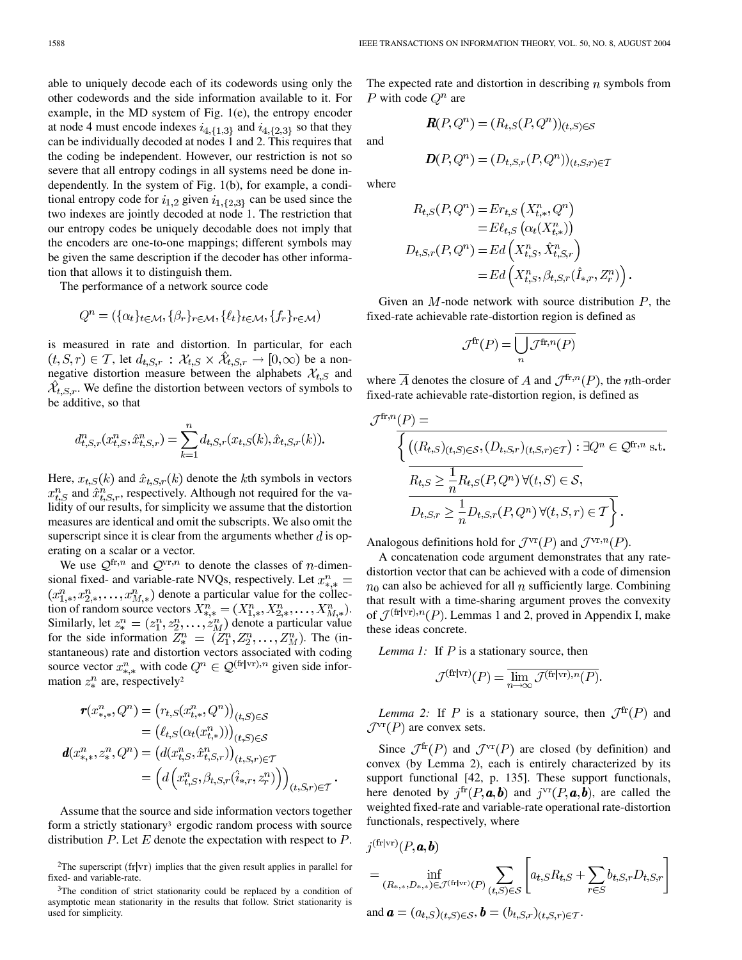able to uniquely decode each of its codewords using only the other codewords and the side information available to it. For example, in the MD system of Fig. 1(e), the entropy encoder at node 4 must encode indexes  $i_{4, \{1,3\}}$  and  $i_{4, \{2,3\}}$  so that they can be individually decoded at nodes 1 and 2. This requires that the coding be independent. However, our restriction is not so severe that all entropy codings in all systems need be done independently. In the system of Fig. 1(b), for example, a conditional entropy code for  $i_{1,2}$  given  $i_{1,2,3}$  can be used since the two indexes are jointly decoded at node 1. The restriction that our entropy codes be uniquely decodable does not imply that the encoders are one-to-one mappings; different symbols may be given the same description if the decoder has other information that allows it to distinguish them.

The performance of a network source code

$$
Q^{n} = (\{\alpha_t\}_{t \in \mathcal{M}}, \{\beta_r\}_{r \in \mathcal{M}}, \{\ell_t\}_{t \in \mathcal{M}}, \{f_r\}_{r \in \mathcal{M}})
$$

is measured in rate and distortion. In particular, for each  $(t, S, r) \in \mathcal{T}$ , let  $d_{t, S, r}$ :  $\mathcal{X}_{t, S} \times \mathcal{X}_{t, S, r} \to [0, \infty)$  be a nonnegative distortion measure between the alphabets  $\mathcal{X}_{t,S}$  and  $\mathcal{X}_{t,S,r}$ . We define the distortion between vectors of symbols to be additive, so that

$$
d_{t,S,r}^n(x_{t,S}^n, \hat{x}_{t,S,r}^n) = \sum_{k=1}^n d_{t,S,r}(x_{t,S}(k), \hat{x}_{t,S,r}(k)).
$$

Here,  $x_{t,S}(k)$  and  $\hat{x}_{t,S,r}(k)$  denote the kth symbols in vectors  $x_{t,S}^n$  and  $\hat{x}_{t,S,r}^n$ , respectively. Although not required for the validity of our results, for simplicity we assume that the distortion measures are identical and omit the subscripts. We also omit the superscript since it is clear from the arguments whether  $d$  is operating on a scalar or a vector.

We use  $\mathcal{Q}^{\text{fr},n}$  and  $\mathcal{Q}^{\text{vr},n}$  to denote the classes of *n*-dimensional fixed- and variable-rate NVQs, respectively. Let  $x_{**}^n =$  $(x_{1,*}^n, x_{2,*}^n, \ldots, x_{M,*}^n)$  denote a particular value for the collection of random source vectors  $X_{*,*}^n = (X_{1,*}^n, X_{2,*}^n, \ldots, X_{M,*}^n)$ . Similarly, let  $z_*^n = (z_1^n, z_2^n, \ldots, z_M^n)$  denote a particular value for the side information  $Z_{*}^{n} = (Z_{1}^{n}, Z_{2}^{n}, \ldots, Z_{M}^{n})$ . The (instantaneous) rate and distortion vectors associated with coding source vector  $x_{*,*}^n$  with code  $Q^n \in \mathcal{Q}^{(\text{fr}|v)}{}^{n}$  given side information  $z^n_*$  are, respectively<sup>2</sup>

$$
\mathbf{r}(x_{*,*}^n, Q^n) = (r_{t,S}(x_{t,*}^n, Q^n))_{(t,S) \in S}
$$
  
\n
$$
= (\ell_{t,S}(\alpha_t(x_{t,*}^n)))_{(t,S) \in S}
$$
  
\n
$$
\mathbf{d}(x_{*,*}^n, z_{*}^n, Q^n) = (d(x_{t,S}^n, \hat{x}_{t,S,r}^n))_{(t,S,r) \in T}
$$
  
\n
$$
= (d\left(x_{t,S}^n, \beta_{t,S,r}(\hat{i}_{*,r}, z_{r}^n)\right))_{(t,S,r) \in T}.
$$

Assume that the source and side information vectors together form a strictly stationary<sup>3</sup> ergodic random process with source distribution  $P$ . Let  $E$  denote the expectation with respect to  $P$ .

<sup>2</sup>The superscript  $(fr|vr)$  implies that the given result applies in parallel for fixed- and variable-rate.

The expected rate and distortion in describing  $n$  symbols from P with code  $Q^n$  are

$$
\mathbf{R}(P,Q^n) = (R_{t,S}(P,Q^n))_{(t,S)\in\mathcal{S}}
$$

and

$$
\boldsymbol{D}(P,Q^n) = (D_{t,S,r}(P,Q^n))_{(t,S,r)\in\mathcal{T}}
$$

where

$$
R_{t,S}(P,Q^n) = Er_{t,S}\left(X_{t,*}^n, Q^n\right)
$$

$$
= E\ell_{t,S}\left(\alpha_t(X_{t,*}^n)\right)
$$

$$
D_{t,S,r}(P,Q^n) = Ed\left(X_{t,S}^n, \hat{X}_{t,S,r}^n\right)
$$

$$
= Ed\left(X_{t,S}^n, \beta_{t,S,r}(\hat{I}_{*,r}, Z_r^n)\right)
$$

Given an  $M$ -node network with source distribution  $P$ , the fixed-rate achievable rate-distortion region is defined as

$$
\mathcal{J}^{\text{fr}}(P) = \overline{\bigcup_{n} \mathcal{J}^{\text{fr},n}(P)}
$$

where  $\overline{A}$  denotes the closure of A and  $\mathcal{J}^{\text{fr},n}(P)$ , the nth-order fixed-rate achievable rate-distortion region, is defined as

$$
\mathcal{J}^{\text{fr},n}(P) = \frac{\left\{ \left( (R_{t,S})_{(t,S)\in\mathcal{S}}, (D_{t,S,r})_{(t,S,r)\in\mathcal{T}} \right) : \exists Q^n \in \mathcal{Q}^{\text{fr},n} \text{ s.t.} \right\}}{\frac{R_{t,S} \geq \frac{1}{n} R_{t,S}(P, Q^n) \ \forall (t,S) \in \mathcal{S},}{D_{t,S,r} \geq \frac{1}{n} D_{t,S,r}(P, Q^n) \ \forall (t,S,r) \in \mathcal{T}} \right\}}.
$$

Analogous definitions hold for  $\mathcal{J}^{vr}(P)$  and  $\mathcal{J}^{vr,n}(P)$ .

A concatenation code argument demonstrates that any ratedistortion vector that can be achieved with a code of dimension  $n_0$  can also be achieved for all n sufficiently large. Combining that result with a time-sharing argument proves the convexity of  $\mathcal{J}^{(\text{fr}|\text{vr}),n}(P)$ . Lemmas 1 and 2, proved in Appendix I, make these ideas concrete.

*Lemma 1:* If  $P$  is a stationary source, then

$$
\mathcal{J}^{(\text{fr}|v)}(P) = \overline{\lim_{n \to \infty} \mathcal{J}^{(\text{fr}|v)}(P)}.
$$

*Lemma 2:* If P is a stationary source, then  $\mathcal{J}^{\text{fr}}(P)$  and  $\mathcal{J}^{\rm vr}(P)$  are convex sets.

Since  $\mathcal{J}^{fr}(P)$  and  $\mathcal{J}^{vr}(P)$  are closed (by definition) and convex (by Lemma 2), each is entirely characterized by its support functional [[42,](#page-20-0) p. 135]. These support functionals, here denoted by  $j^{\text{fr}}(P, \boldsymbol{a}, \boldsymbol{b})$  and  $j^{\text{vr}}(P, \boldsymbol{a}, \boldsymbol{b})$ , are called the weighted fixed-rate and variable-rate operational rate-distortion functionals, respectively, where

$$
j^{(\text{fr}|\text{vr})}(P, \boldsymbol{a}, \boldsymbol{b})
$$
  
=  $\inf_{(R_{*,*}, D_{*,*}) \in \mathcal{J}^{(\text{fr}|\text{vr})}(P)} \sum_{(t,S) \in \mathcal{S}} \left[ a_{t,S} R_{t,S} + \sum_{r \in S} b_{t,S,r} D_{t,S,r} \right]$ 

and 
$$
\mathbf{a} = (a_{t,S})_{(t,S)\in S}
$$
,  $\mathbf{b} = (b_{t,S,r})_{(t,S,r)\in T}$ .

<sup>3</sup>The condition of strict stationarity could be replaced by a condition of asymptotic mean stationarity in the results that follow. Strict stationarity is used for simplicity.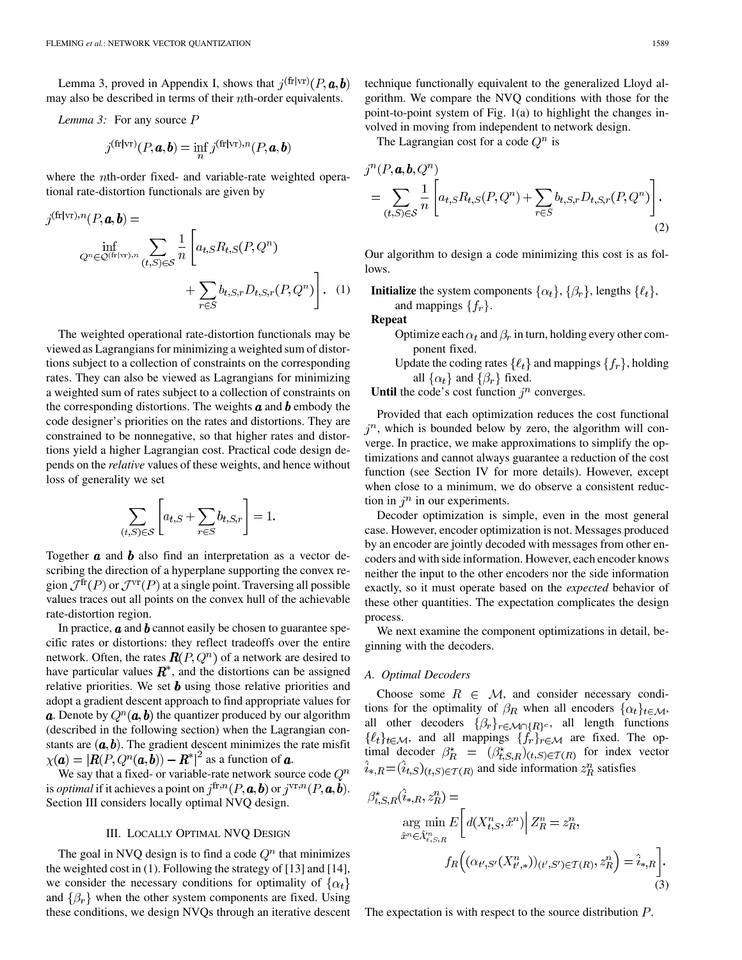Lemma 3, proved in Appendix I, shows that  $j^{(f_r|v_r)}(P, a, b)$ may also be described in terms of their  $n$ th-order equivalents.

Lemma 3: For any source 
$$
P
$$
  
\n
$$
j^{(\text{fr}|\text{vr})}(P, \mathbf{a}, \mathbf{b}) = \inf_{n} j^{(\text{fr}|\text{vr}), n}(P, \mathbf{b})
$$

where the *th-order fixed- and variable-rate weighted opera*tional rate-distortion functionals are given by

 $(a, b)$ 

$$
j^{(\text{fr}|\text{vr}),n}(P,\boldsymbol{a},\boldsymbol{b}) = \inf_{Q^n \in \mathcal{Q}^{(\text{fr}|\text{vr}),n}} \sum_{(t,S) \in \mathcal{S}} \frac{1}{n} \left[ a_{t,S} R_{t,S}(P,Q^n) + \sum_{r \in S} b_{t,S,r} D_{t,S,r}(P,Q^n) \right]. \tag{1}
$$

The weighted operational rate-distortion functionals may be viewed as Lagrangians for minimizing a weighted sum of distortions subject to a collection of constraints on the corresponding rates. They can also be viewed as Lagrangians for minimizing a weighted sum of rates subject to a collection of constraints on the corresponding distortions. The weights  $\boldsymbol{a}$  and  $\boldsymbol{b}$  embody the code designer's priorities on the rates and distortions. They are constrained to be nonnegative, so that higher rates and distortions yield a higher Lagrangian cost. Practical code design depends on the *relative* values of these weights, and hence without loss of generality we set

$$
\sum_{(t,S)\in\mathcal{S}} \left[ a_{t,S} + \sum_{r\in S} b_{t,S,r} \right] = 1.
$$

Together  $\boldsymbol{a}$  and  $\boldsymbol{b}$  also find an interpretation as a vector describing the direction of a hyperplane supporting the convex region  $\mathcal{J}^{\text{fr}}(P)$  or  $\mathcal{J}^{\text{vr}}(P)$  at a single point. Traversing all possible values traces out all points on the convex hull of the achievable rate-distortion region.

In practice,  $\boldsymbol{a}$  and  $\boldsymbol{b}$  cannot easily be chosen to guarantee specific rates or distortions: they reflect tradeoffs over the entire network. Often, the rates  $\mathbf{R}(P,Q^n)$  of a network are desired to have particular values  $\mathbb{R}^*$ , and the distortions can be assigned relative priorities. We set  $\boldsymbol{b}$  using those relative priorities and adopt a gradient descent approach to find appropriate values for **a**. Denote by  $Q^n(a, b)$  the quantizer produced by our algorithm (described in the following section) when the Lagrangian constants are  $(a, b)$ . The gradient descent minimizes the rate misfit  $\chi(\mathbf{a}) = |\mathbf{R}(P,Q^n(\mathbf{a},\mathbf{b})) - \mathbf{R}^*|^2$  as a function of  $\mathbf{a}$ .

We say that a fixed- or variable-rate network source code  $\mathbb{Q}^n$ is *optimal* if it achieves a point on  $j^{\text{fr},n}(P, a, b)$  or  $j^{\text{vr},n}(P, a, b)$ . Section III considers locally optimal NVQ design.

# III. LOCALLY OPTIMAL NVQ DESIGN

The goal in NVQ design is to find a code  $Q<sup>n</sup>$  that minimizes the weighted cost in (1). Following the strategy of [\[13](#page-19-0)] and [\[14](#page-19-0)], we consider the necessary conditions for optimality of  $\{\alpha_t\}$ and  $\{\beta_r\}$  when the other system components are fixed. Using these conditions, we design NVQs through an iterative descent technique functionally equivalent to the generalized Lloyd algorithm. We compare the NVQ conditions with those for the point-to-point system of Fig. 1(a) to highlight the changes involved in moving from independent to network design.

The Lagrangian cost for a code  $Q^n$  is

$$
j^{n}(P, \boldsymbol{a}, \boldsymbol{b}, Q^{n})
$$
  
= 
$$
\sum_{(t,S)\in S} \frac{1}{n} \left[ a_{t,S} R_{t,S}(P, Q^{n}) + \sum_{r\in S} b_{t,S,r} D_{t,S,r}(P, Q^{n}) \right].
$$
 (2)

Our algorithm to design a code minimizing this cost is as follows.

**Initialize** the system components  $\{\alpha_t\}$ ,  $\{\beta_r\}$ , lengths  $\{\ell_t\}$ , and mappings  $\{f_r\}$ .

**Repeat**

- Optimize each  $\alpha_t$  and  $\beta_r$  in turn, holding every other component fixed.
- Update the coding rates  $\{\ell_t\}$  and mappings  $\{f_r\}$ , holding all  $\{\alpha_t\}$  and  $\{\beta_r\}$  fixed.

**Until** the code's cost function  $j^n$  converges.

Provided that each optimization reduces the cost functional  $j^n$ , which is bounded below by zero, the algorithm will converge. In practice, we make approximations to simplify the optimizations and cannot always guarantee a reduction of the cost function (see Section IV for more details). However, except when close to a minimum, we do observe a consistent reduction in  $j^n$  in our experiments.

Decoder optimization is simple, even in the most general case. However, encoder optimization is not. Messages produced by an encoder are jointly decoded with messages from other encoders and with side information. However, each encoder knows neither the input to the other encoders nor the side information exactly, so it must operate based on the *expected* behavior of these other quantities. The expectation complicates the design process.

We next examine the component optimizations in detail, beginning with the decoders.

#### *A. Optimal Decoders*

Choose some  $R \in \mathcal{M}$ , and consider necessary conditions for the optimality of  $\beta_R$  when all encoders  $\{\alpha_t\}_{t \in \mathcal{M}}$ , all other decoders  $\{\beta_r\}_{r \in \mathcal{M} \cap \{R\}^c}$ , all length functions , and all mappings  $\{f_r\}_{r \in \mathcal{M}}$  are fixed. The optimal decoder  $\beta_R^* = (\beta_{t,S,R}^*)_{(t,S) \in T(R)}$  for index vector  $\hat{i}_{*,R} = (\hat{i}_{t,S})_{(t,S) \in \mathcal{T}(R)}$  and side information  $z_R^n$  satisfies

$$
\beta_{t,S,R}^{\star}(\hat{i}_{*,R}, z_R^n) = \underset{\hat{x}^n \in \hat{\mathcal{X}}_{t,S,R}^n}{\arg \min} E\bigg[d(X_{t,S}^n, \hat{x}^n) \bigg| Z_R^n = z_R^n, \\
f_R\big((\alpha_{t',S'}(X_{t',*}^n))_{(t',S') \in \mathcal{T}(R)}, z_R^n\bigg) = \hat{i}_{*,R}\bigg].
$$
\n(3)

The expectation is with respect to the source distribution  $P$ .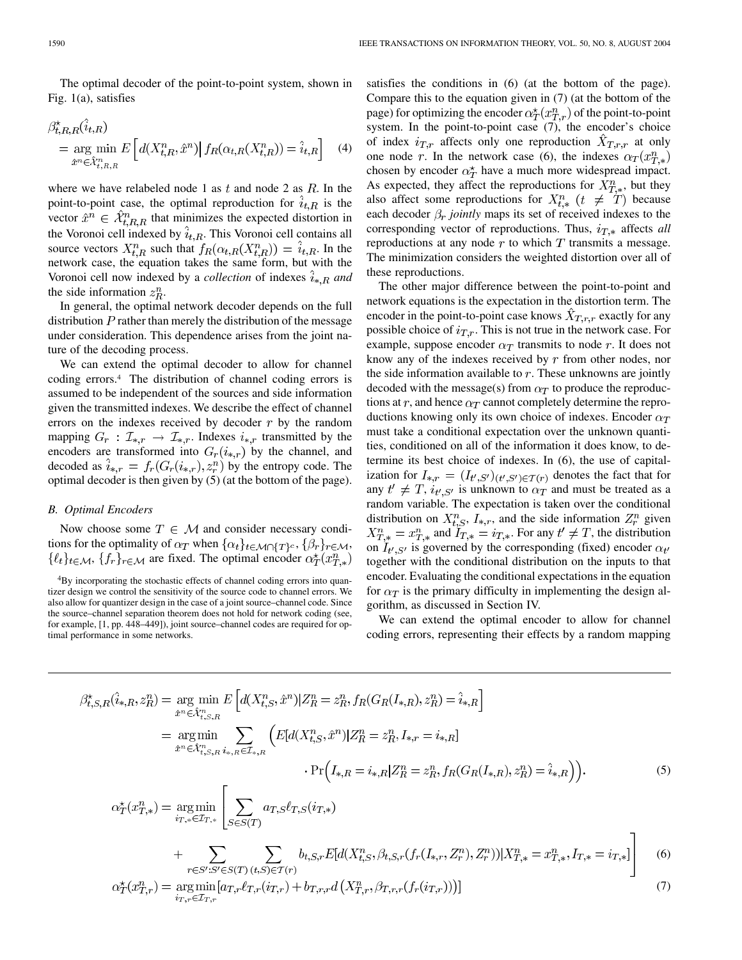The optimal decoder of the point-to-point system, shown in Fig. 1(a), satisfies

$$
\beta_{t,R,R}^*(\hat{i}_{t,R})
$$
\n
$$
= \underset{\hat{x}^n \in \hat{\mathcal{X}}_{t,R,R}^n}{\arg \min} E\left[d(X_{t,R}^n, \hat{x}^n) \middle| f_R(\alpha_{t,R}(X_{t,R}^n)) = \hat{i}_{t,R}\right] \quad (4)
$$

where we have relabeled node 1 as  $t$  and node 2 as  $R$ . In the point-to-point case, the optimal reproduction for  $\hat{i}_{t,R}$  is the vector  $\hat{x}^n \in \hat{\mathcal{X}}_{t,R,R}^n$  that minimizes the expected distortion in the Voronoi cell indexed by  $\hat{i}_{t,R}$ . This Voronoi cell contains all source vectors  $X_{t,R}^n$  such that  $f_R(\alpha_{t,R}(X_{t,R}^n)) = \hat{i}_{t,R}$ . In the network case, the equation takes the same form, but with the Voronoi cell now indexed by a *collection* of indexes  $i_{*,R}$  and the side information  $z_R^n$ .

In general, the optimal network decoder depends on the full distribution  $P$  rather than merely the distribution of the message under consideration. This dependence arises from the joint nature of the decoding process.

We can extend the optimal decoder to allow for channel coding errors.4 The distribution of channel coding errors is assumed to be independent of the sources and side information given the transmitted indexes. We describe the effect of channel errors on the indexes received by decoder  $r$  by the random mapping  $G_r : \mathcal{I}_{*,r} \to \mathcal{I}_{*,r}$ . Indexes  $i_{*,r}$  transmitted by the encoders are transformed into  $G_r(i_{*,r})$  by the channel, and decoded as  $\hat{i}_{*,r} = f_r(G_r(i_{*,r}), z_r^n)$  by the entropy code. The optimal decoder is then given by (5) (at the bottom of the page).

#### *B. Optimal Encoders*

Now choose some  $T \in \mathcal{M}$  and consider necessary conditions for the optimality of  $\alpha_T$  when  $\{\alpha_t\}_{t \in \mathcal{M} \cap \{T\}^c}$ ,  $\{\beta_r\}_{r \in \mathcal{M}}$ ,  $\{\ell_t\}_{t \in \mathcal{M}}$ ,  $\{f_r\}_{r \in \mathcal{M}}$  are fixed. The optimal encoder  $\alpha^{\star}_T(x_{T,\ast}^n)$ 

4By incorporating the stochastic effects of channel coding errors into quantizer design we control the sensitivity of the source code to channel errors. We also allow for quantizer design in the case of a joint source–channel code. Since the source–channel separation theorem does not hold for network coding (see, for example, [\[1](#page-19-0), pp. 448–449]), joint source–channel codes are required for optimal performance in some networks.

 $i_{T,r} \in \mathcal{I}_{T,r}$ 

satisfies the conditions in (6) (at the bottom of the page). Compare this to the equation given in (7) (at the bottom of the page) for optimizing the encoder  $\alpha_T^*(x_{T,r}^n)$  of the point-to-point system. In the point-to-point case (7), the encoder's choice of index  $i_{T,r}$  affects only one reproduction  $X_{T,r,r}$  at only one node r. In the network case (6), the indexes  $\alpha_T(x_{T,*}^n)$ chosen by encoder  $\alpha_T^*$  have a much more widespread impact. As expected, they affect the reproductions for  $X_{T,*}^n$ , but they also affect some reproductions for  $X_{t,*}^n$   $(t \neq T)$  because each decoder  $\beta_r$  jointly maps its set of received indexes to the corresponding vector of reproductions. Thus,  $i_{T,*}$  affects *all* reproductions at any node  $r$  to which  $T$  transmits a message. The minimization considers the weighted distortion over all of these reproductions.

The other major difference between the point-to-point and network equations is the expectation in the distortion term. The encoder in the point-to-point case knows  $X_{T,r,r}$  exactly for any possible choice of  $i_{T,r}$ . This is not true in the network case. For example, suppose encoder  $\alpha_T$  transmits to node r. It does not know any of the indexes received by  $r$  from other nodes, nor the side information available to  $r$ . These unknowns are jointly decoded with the message(s) from  $\alpha_T$  to produce the reproductions at r, and hence  $\alpha_T$  cannot completely determine the reproductions knowing only its own choice of indexes. Encoder  $\alpha_T$ must take a conditional expectation over the unknown quantities, conditioned on all of the information it does know, to determine its best choice of indexes. In (6), the use of capitalization for  $I_{*,r} = (I_{t',S'})_{(t',S') \in \mathcal{T}(r)}$  denotes the fact that for any  $t' \neq T$ ,  $i_{t',S'}$  is unknown to  $\alpha_T$  and must be treated as a random variable. The expectation is taken over the conditional distribution on  $X_{t,S}^n$ ,  $I_{*,r}$ , and the side information  $Z_r^n$  given  $X_{T,*}^n = x_{T,*}^n$  and  $T_{T,*} = i_{T,*}$ . For any  $t' \neq T$ , the distribution on  $I_{t',S'}$  is governed by the corresponding (fixed) encoder  $\alpha_{t'}$ together with the conditional distribution on the inputs to that encoder. Evaluating the conditional expectations in the equation for  $\alpha_T$  is the primary difficulty in implementing the design algorithm, as discussed in Section IV.

We can extend the optimal encoder to allow for channel coding errors, representing their effects by a random mapping

$$
\beta_{t,S,R}^{*}(\hat{i}_{*,R}, z_{R}^{n}) = \underset{\hat{x}^{n} \in \hat{\mathcal{X}}_{t,S,R}^{n}}{\arg \min} E\left[d(X_{t,S}^{n}, \hat{x}^{n})|Z_{R}^{n} = z_{R}^{n}, f_{R}(G_{R}(I_{*,R}), z_{R}^{n}) = \hat{i}_{*,R}\right]
$$
\n
$$
= \underset{\hat{x}^{n} \in \hat{\mathcal{X}}_{t,S,R}^{n}}{\arg \min} \sum_{i_{*,R} \in \hat{\mathcal{X}}_{t,S,R}^{n}} \left(E[d(X_{t,S}^{n}, \hat{x}^{n})|Z_{R}^{n} = z_{R}^{n}, I_{*,r} = i_{*,R}\right]
$$
\n
$$
\cdot \Pr\left(I_{*,R} = i_{*,R}|Z_{R}^{n} = z_{R}^{n}, f_{R}(G_{R}(I_{*,R}), z_{R}^{n}) = \hat{i}_{*,R}\right)\right).
$$
\n
$$
\alpha_{T}^{*}(x_{T,*}^{n}) = \underset{\hat{x}^{n} \in \hat{\mathcal{X}}_{t,S}^{n}}{\arg \min} \left[\sum_{S \in S(T)} a_{T,S}\ell_{T,S}(i_{T,*}) + \sum_{r \in S': S' \in S(T)} b_{t,S,r} E[d(X_{t,S}^{n}, \beta_{t,S,r}(f_{r}(I_{*,r}, Z_{r}^{n}), Z_{r}^{n}))|X_{T,*}^{n} = x_{T,*}^{n}, I_{T,*} = i_{T,*}\right]
$$
\n
$$
\alpha_{T}^{*}(x_{T,r}^{n}) = \underset{\hat{x}^{n}}{\arg \min} [a_{T,r}\ell_{T,r}(i_{T,r}) + b_{T,r,r}d(X_{T,r}^{n}, \beta_{T,r,r}(f_{r}(i_{T,r})))]
$$
\n(7)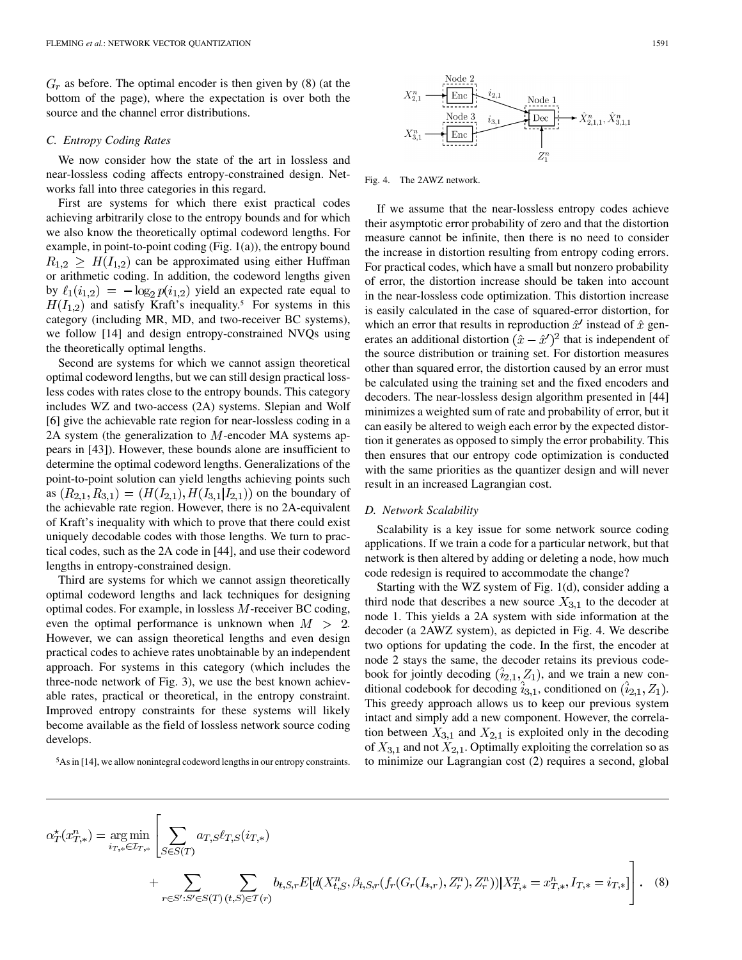$G_r$  as before. The optimal encoder is then given by (8) (at the bottom of the page), where the expectation is over both the source and the channel error distributions.

# *C. Entropy Coding Rates*

We now consider how the state of the art in lossless and near-lossless coding affects entropy-constrained design. Networks fall into three categories in this regard.

First are systems for which there exist practical codes achieving arbitrarily close to the entropy bounds and for which we also know the theoretically optimal codeword lengths. For example, in point-to-point coding (Fig. 1(a)), the entropy bound  $R_{1,2} \geq H(I_{1,2})$  can be approximated using either Huffman or arithmetic coding. In addition, the codeword lengths given by  $\ell_1(i_{1,2}) = -\log_2 p(i_{1,2})$  yield an expected rate equal to  $H(I_{1,2})$  and satisfy Kraft's inequality.<sup>5</sup> For systems in this category (including MR, MD, and two-receiver BC systems), we follow [\[14](#page-19-0)] and design entropy-constrained NVQs using the theoretically optimal lengths.

Second are systems for which we cannot assign theoretical optimal codeword lengths, but we can still design practical lossless codes with rates close to the entropy bounds. This category includes WZ and two-access (2A) systems. Slepian and Wolf [\[6](#page-19-0)] give the achievable rate region for near-lossless coding in a 2A system (the generalization to  $M$ -encoder MA systems appears in [\[43](#page-20-0)]). However, these bounds alone are insufficient to determine the optimal codeword lengths. Generalizations of the point-to-point solution can yield lengths achieving points such as  $(R_{2,1}, R_{3,1}) = (H(I_{2,1}), H(I_{3,1}|I_{2,1}))$  on the boundary of the achievable rate region. However, there is no 2A-equivalent of Kraft's inequality with which to prove that there could exist uniquely decodable codes with those lengths. We turn to practical codes, such as the 2A code in [\[44](#page-20-0)], and use their codeword lengths in entropy-constrained design.

Third are systems for which we cannot assign theoretically optimal codeword lengths and lack techniques for designing optimal codes. For example, in lossless  $M$ -receiver BC coding, even the optimal performance is unknown when  $M > 2$ . However, we can assign theoretical lengths and even design practical codes to achieve rates unobtainable by an independent approach. For systems in this category (which includes the three-node network of Fig. 3), we use the best known achievable rates, practical or theoretical, in the entropy constraint. Improved entropy constraints for these systems will likely become available as the field of lossless network source coding develops.

5As in [\[14](#page-19-0)], we allow nonintegral codeword lengths in our entropy constraints.



Fig. 4. The 2AWZ network.

If we assume that the near-lossless entropy codes achieve their asymptotic error probability of zero and that the distortion measure cannot be infinite, then there is no need to consider the increase in distortion resulting from entropy coding errors. For practical codes, which have a small but nonzero probability of error, the distortion increase should be taken into account in the near-lossless code optimization. This distortion increase is easily calculated in the case of squared-error distortion, for which an error that results in reproduction  $\hat{x}'$  instead of  $\hat{x}$  generates an additional distortion  $(\hat{x} - \hat{x}')^2$  that is independent of the source distribution or training set. For distortion measures other than squared error, the distortion caused by an error must be calculated using the training set and the fixed encoders and decoders. The near-lossless design algorithm presented in [[44\]](#page-20-0) minimizes a weighted sum of rate and probability of error, but it can easily be altered to weigh each error by the expected distortion it generates as opposed to simply the error probability. This then ensures that our entropy code optimization is conducted with the same priorities as the quantizer design and will never result in an increased Lagrangian cost.

### *D. Network Scalability*

Scalability is a key issue for some network source coding applications. If we train a code for a particular network, but that network is then altered by adding or deleting a node, how much code redesign is required to accommodate the change?

Starting with the WZ system of Fig. 1(d), consider adding a third node that describes a new source  $X_{3,1}$  to the decoder at node 1. This yields a 2A system with side information at the decoder (a 2AWZ system), as depicted in Fig. 4. We describe two options for updating the code. In the first, the encoder at node 2 stays the same, the decoder retains its previous codebook for jointly decoding  $(\hat{i}_{2,1}, Z_1)$ , and we train a new conditional codebook for decoding  $i_{3,1}$ , conditioned on  $(i_{2,1}, Z_1)$ . This greedy approach allows us to keep our previous system intact and simply add a new component. However, the correlation between  $X_{3,1}$  and  $X_{2,1}$  is exploited only in the decoding of  $X_{3,1}$  and not  $X_{2,1}$ . Optimally exploiting the correlation so as to minimize our Lagrangian cost (2) requires a second, global

$$
\alpha_T^{\star}(x_{T,\ast}^n) = \underset{i_{T,\ast} \in \mathcal{I}_{T,\ast}}{\arg \min} \left[ \sum_{S \in S(T)} a_{T,S} \ell_{T,S}(i_{T,\ast}) + \sum_{r \in S': S' \in S(T)} b_{t,S,r} E[d(X_{t,S}^n, \beta_{t,S,r}(f_r(G_r(I_{\ast,r}), Z_r^n), Z_r^n)) | X_{T,\ast}^n = x_{T,\ast}^n, I_{T,\ast} = i_{T,\ast}] \right].
$$
\n(8)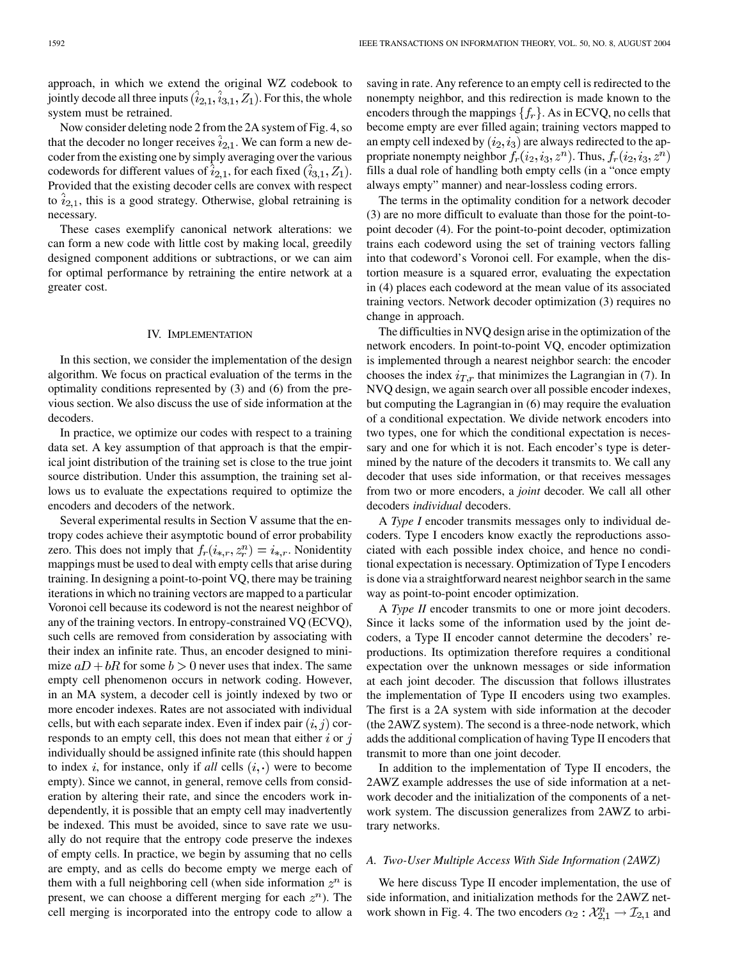approach, in which we extend the original WZ codebook to jointly decode all three inputs  $(\hat{i}_{2,1}, \hat{i}_{3,1}, Z_1)$ . For this, the whole system must be retrained.

Now consider deleting node 2 from the 2A system of Fig. 4, so that the decoder no longer receives  $\hat{i}_{2,1}$ . We can form a new decoder from the existing one by simply averaging over the various codewords for different values of  $i_{2,1}$ , for each fixed  $(i_{3,1}, Z_1)$ . Provided that the existing decoder cells are convex with respect to  $i_{2,1}$ , this is a good strategy. Otherwise, global retraining is necessary.

These cases exemplify canonical network alterations: we can form a new code with little cost by making local, greedily designed component additions or subtractions, or we can aim for optimal performance by retraining the entire network at a greater cost.

## IV. IMPLEMENTATION

In this section, we consider the implementation of the design algorithm. We focus on practical evaluation of the terms in the optimality conditions represented by (3) and (6) from the previous section. We also discuss the use of side information at the decoders.

In practice, we optimize our codes with respect to a training data set. A key assumption of that approach is that the empirical joint distribution of the training set is close to the true joint source distribution. Under this assumption, the training set allows us to evaluate the expectations required to optimize the encoders and decoders of the network.

Several experimental results in Section V assume that the entropy codes achieve their asymptotic bound of error probability zero. This does not imply that  $f_r(i_{*,r}, z_r^n) = i_{*,r}$ . Nonidentity mappings must be used to deal with empty cells that arise during training. In designing a point-to-point VQ, there may be training iterations in which no training vectors are mapped to a particular Voronoi cell because its codeword is not the nearest neighbor of any of the training vectors. In entropy-constrained VQ (ECVQ), such cells are removed from consideration by associating with their index an infinite rate. Thus, an encoder designed to minimize  $aD + bR$  for some  $b > 0$  never uses that index. The same empty cell phenomenon occurs in network coding. However, in an MA system, a decoder cell is jointly indexed by two or more encoder indexes. Rates are not associated with individual cells, but with each separate index. Even if index pair  $(i, j)$  corresponds to an empty cell, this does not mean that either  $i$  or  $j$ individually should be assigned infinite rate (this should happen to index i, for instance, only if all cells  $(i, \cdot)$  were to become empty). Since we cannot, in general, remove cells from consideration by altering their rate, and since the encoders work independently, it is possible that an empty cell may inadvertently be indexed. This must be avoided, since to save rate we usually do not require that the entropy code preserve the indexes of empty cells. In practice, we begin by assuming that no cells are empty, and as cells do become empty we merge each of them with a full neighboring cell (when side information  $z^n$  is present, we can choose a different merging for each  $z^n$ ). The cell merging is incorporated into the entropy code to allow a saving in rate. Any reference to an empty cell is redirected to the nonempty neighbor, and this redirection is made known to the encoders through the mappings  $\{f_r\}$ . As in ECVQ, no cells that become empty are ever filled again; training vectors mapped to an empty cell indexed by  $(i_2, i_3)$  are always redirected to the appropriate nonempty neighbor  $f_r(i_2, i_3, z^n)$ . Thus,  $f_r(i_2, i_3, z^n)$ fills a dual role of handling both empty cells (in a "once empty always empty" manner) and near-lossless coding errors.

The terms in the optimality condition for a network decoder (3) are no more difficult to evaluate than those for the point-topoint decoder (4). For the point-to-point decoder, optimization trains each codeword using the set of training vectors falling into that codeword's Voronoi cell. For example, when the distortion measure is a squared error, evaluating the expectation in (4) places each codeword at the mean value of its associated training vectors. Network decoder optimization (3) requires no change in approach.

The difficulties in NVQ design arise in the optimization of the network encoders. In point-to-point VQ, encoder optimization is implemented through a nearest neighbor search: the encoder chooses the index  $i_{T,r}$  that minimizes the Lagrangian in (7). In NVQ design, we again search over all possible encoder indexes, but computing the Lagrangian in (6) may require the evaluation of a conditional expectation. We divide network encoders into two types, one for which the conditional expectation is necessary and one for which it is not. Each encoder's type is determined by the nature of the decoders it transmits to. We call any decoder that uses side information, or that receives messages from two or more encoders, a *joint* decoder. We call all other decoders *individual* decoders.

A *Type I* encoder transmits messages only to individual decoders. Type I encoders know exactly the reproductions associated with each possible index choice, and hence no conditional expectation is necessary. Optimization of Type I encoders is done via a straightforward nearest neighbor search in the same way as point-to-point encoder optimization.

A *Type II* encoder transmits to one or more joint decoders. Since it lacks some of the information used by the joint decoders, a Type II encoder cannot determine the decoders' reproductions. Its optimization therefore requires a conditional expectation over the unknown messages or side information at each joint decoder. The discussion that follows illustrates the implementation of Type II encoders using two examples. The first is a 2A system with side information at the decoder (the 2AWZ system). The second is a three-node network, which adds the additional complication of having Type II encoders that transmit to more than one joint decoder.

In addition to the implementation of Type II encoders, the 2AWZ example addresses the use of side information at a network decoder and the initialization of the components of a network system. The discussion generalizes from 2AWZ to arbitrary networks.

# *A. Two-User Multiple Access With Side Information (2AWZ)*

We here discuss Type II encoder implementation, the use of side information, and initialization methods for the 2AWZ network shown in Fig. 4. The two encoders  $\alpha_2 : \mathcal{X}_{2,1}^n \to \mathcal{I}_{2,1}$  and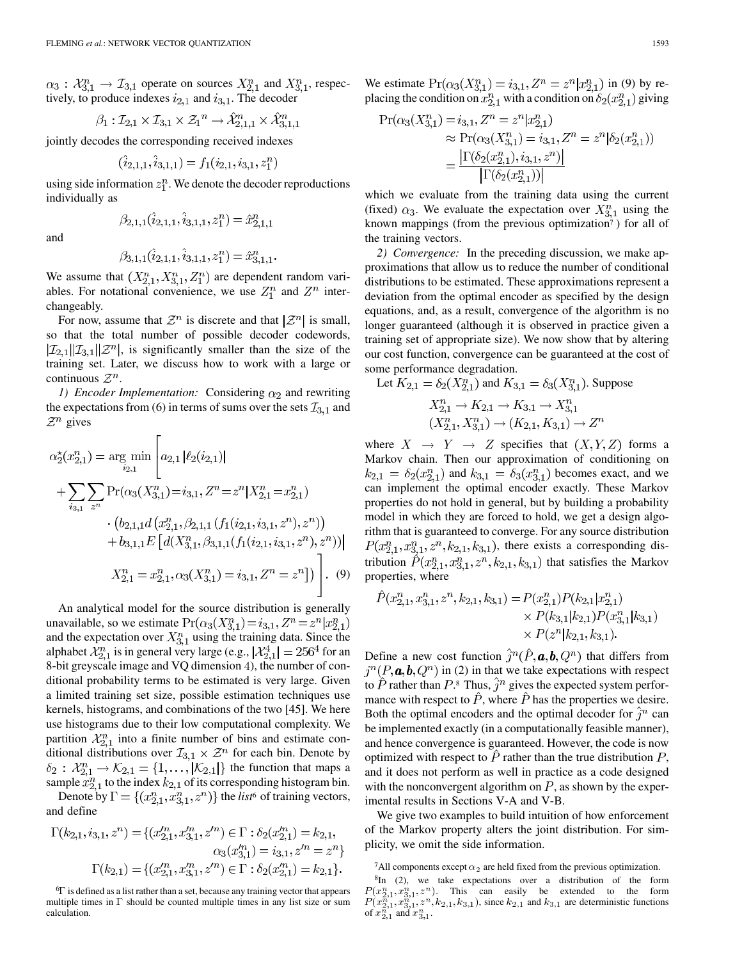$\alpha_3$ :  $\mathcal{X}_{3,1}^n \rightarrow \mathcal{I}_{3,1}$  operate on sources  $X_{2,1}^n$  and  $X_{3,1}^n$ , respectively, to produce indexes  $i_{2,1}$  and  $i_{3,1}$ . The decoder

$$
\beta_1 : \mathcal{I}_{2,1} \times \mathcal{I}_{3,1} \times \mathcal{Z}_1^{\ n} \to \hat{\mathcal{X}}_{2,1,1}^n \times \hat{\mathcal{X}}_{3,1,1}^n
$$

jointly decodes the corresponding received indexes

$$
(i_{2,1,1}, i_{3,1,1}) = f_1(i_{2,1}, i_{3,1}, z_1^n)
$$

using side information  $z_1^n$ . We denote the decoder reproductions individually as

$$
\beta_{2,1,1}(\hat{i}_{2,1,1},\hat{i}_{3,1,1},z_1^n)=\hat{x}_{2,1,1}^n
$$

and

$$
\beta_{3,1,1}(\hat{i}_{2,1,1},\hat{i}_{3,1,1},z_1^n) = \hat{x}_{3,1,1}^n
$$

We assume that  $(X_{2,1}^n, X_{3,1}^n, Z_1^n)$  are dependent random variables. For notational convenience, we use  $Z_1^n$  and  $Z^n$  interchangeably.

For now, assume that  $\mathcal{Z}^n$  is discrete and that  $|\mathcal{Z}^n|$  is small, so that the total number of possible decoder codewords,  $|\mathcal{I}_{2,1}||\mathcal{I}_{3,1}||\mathcal{Z}^n|$ , is significantly smaller than the size of the training set. Later, we discuss how to work with a large or continuous  $\mathcal{Z}^n$ .

*1) Encoder Implementation:* Considering  $\alpha_2$  and rewriting the expectations from (6) in terms of sums over the sets  $\mathcal{I}_{3,1}$  and  $\mathcal{Z}^n$  gives

 $\Gamma$ 

$$
\alpha_2^{\star}(x_{2,1}^n) = \arg\min_{i_{2,1}} \left[ a_{2,1} | \ell_2(i_{2,1})| \right.
$$
  
+ 
$$
\sum_{i_{3,1}} \sum_{z^n} \Pr(\alpha_3(X_{3,1}^n) = i_{3,1}, Z^n = z^n | X_{2,1}^n = x_{2,1}^n)
$$
  
 
$$
\cdot (b_{2,1,1} d(x_{2,1}^n, \beta_{2,1,1} (f_1(i_{2,1}, i_{3,1}, z^n), z^n)) + b_{3,1,1} E \left[ d(X_{3,1}^n, \beta_{3,1,1} (f_1(i_{2,1}, i_{3,1}, z^n), z^n)) \right]
$$
  

$$
X_{2,1}^n = x_{2,1}^n, \alpha_3(X_{3,1}^n) = i_{3,1}, Z^n = z^n] \Bigg]. \tag{9}
$$

An analytical model for the source distribution is generally unavailable, so we estimate  $Pr(\alpha_3(X_{3,1}^n) = i_{3,1}, Z^n = z^n | x_{2,1}^n)$ and the expectation over  $X_{3,1}^n$  using the training data. Since the alphabet  $\mathcal{X}_{2,1}^n$  is in general very large (e.g.,  $|\mathcal{X}_{2,1}^4| = 256^4$  for an 8-bit greyscale image and VQ dimension 4), the number of conditional probability terms to be estimated is very large. Given a limited training set size, possible estimation techniques use kernels, histograms, and combinations of the two [[45\]](#page-20-0). We here use histograms due to their low computational complexity. We partition  $\mathcal{X}_{2,1}^n$  into a finite number of bins and estimate conditional distributions over  $\mathcal{I}_{3,1} \times \mathcal{Z}^n$  for each bin. Denote by  $\delta_2$ :  $\mathcal{X}_{2,1}^n \rightarrow \mathcal{K}_{2,1} = \{1,\ldots,|\mathcal{K}_{2,1}|\}$  the function that maps a sample  $x_{2,1}^n$  to the index  $k_{2,1}$  of its corresponding histogram bin.

Denote by  $\Gamma = \{(x_{2,1}^n, x_{3,1}^n, z^n)\}\$ the *list*<sup>6</sup> of training vectors, and define

$$
\Gamma(k_{2,1}, i_{3,1}, z^n) = \{ (x_{2,1}^{\prime n}, x_{3,1}^{\prime n}, z^{\prime n}) \in \Gamma : \delta_2(x_{2,1}^{\prime n}) = k_{2,1},
$$
  

$$
\alpha_3(x_{3,1}^{\prime n}) = i_{3,1}, z^{\prime n} = z^n \}
$$
  

$$
\Gamma(k_{2,1}) = \{ (x_{2,1}^{\prime n}, x_{3,1}^{\prime n}, z^{\prime n}) \in \Gamma : \delta_2(x_{2,1}^{\prime n}) = k_{2,1} \}.
$$

 $6\Gamma$  is defined as a list rather than a set, because any training vector that appears multiple times in  $\Gamma$  should be counted multiple times in any list size or sum calculation.

We estimate  $Pr(\alpha_3(X_{3,1}^n) = i_{3,1}, Z^n = z^n | x_{2,1}^n)$  in (9) by replacing the condition on  $x_{2,1}^n$  with a condition on  $\delta_2(x_{2,1}^n)$  giving

$$
\Pr(\alpha_3(X_{3,1}^n) = i_{3,1}, Z^n = z^n | x_{2,1}^n)
$$
  
\n
$$
\approx \Pr(\alpha_3(X_{3,1}^n) = i_{3,1}, Z^n = z^n | \delta_2(x_{2,1}^n))
$$
  
\n
$$
= \frac{\left| \Gamma(\delta_2(x_{2,1}^n), i_{3,1}, z^n) \right|}{\left| \Gamma(\delta_2(x_{2,1}^n)) \right|}
$$

which we evaluate from the training data using the current (fixed)  $\alpha_3$ . We evaluate the expectation over  $X_{3,1}^n$  using the known mappings (from the previous optimization7 ) for all of the training vectors.

*2) Convergence:* In the preceding discussion, we make approximations that allow us to reduce the number of conditional distributions to be estimated. These approximations represent a deviation from the optimal encoder as specified by the design equations, and, as a result, convergence of the algorithm is no longer guaranteed (although it is observed in practice given a training set of appropriate size). We now show that by altering our cost function, convergence can be guaranteed at the cost of some performance degradation.

Let 
$$
K_{2,1} = \delta_2(X_{2,1}^n)
$$
 and  $K_{3,1} = \delta_3(X_{3,1}^n)$ . Suppose  
\n $X_{2,1}^n \to K_{2,1} \to K_{3,1} \to X_{3,1}^n$   
\n $(X_{2,1}^n, X_{3,1}^n) \to (K_{2,1}, K_{3,1}) \to Z^n$ 

where  $X \rightarrow Y \rightarrow Z$  specifies that  $(X, Y, Z)$  forms a Markov chain. Then our approximation of conditioning on  $k_{2,1} = \delta_2(x_{2,1}^n)$  and  $k_{3,1} = \delta_3(x_{3,1}^n)$  becomes exact, and we can implement the optimal encoder exactly. These Markov properties do not hold in general, but by building a probability model in which they are forced to hold, we get a design algorithm that is guaranteed to converge. For any source distribution  $P(x_{2,1}^n, x_{3,1}^n, z^n, k_{2,1}, k_{3,1})$ , there exists a corresponding distribution  $\hat{P}(x_{2,1}^n, x_{3,1}^n, z^n, k_{2,1}, k_{3,1})$  that satisfies the Markov properties, where

$$
\begin{aligned} P(x_{2,1}^n, x_{3,1}^n, z^n, k_{2,1}, k_{3,1}) &= P(x_{2,1}^n) P(k_{2,1}|x_{2,1}^n) \\ &\times P(k_{3,1}|k_{2,1}) P(x_{3,1}^n|k_{3,1}) \\ &\times P(z^n|k_{2,1}, k_{3,1}). \end{aligned}
$$

Define a new cost function  $\hat{j}^n(\hat{P}, a, b, Q^n)$  that differs from  $j^{n}(P, \mathbf{a}, \mathbf{b}, Q^{n})$  in (2) in that we take expectations with respect to  $\hat{P}$  rather than  $P$ <sup>8</sup>. Thus,  $\hat{j}^n$  gives the expected system performance with respect to  $\hat{P}$ , where  $\hat{P}$  has the properties we desire. Both the optimal encoders and the optimal decoder for  $\hat{j}^n$  can be implemented exactly (in a computationally feasible manner), and hence convergence is guaranteed. However, the code is now optimized with respect to  $P$  rather than the true distribution  $P$ , and it does not perform as well in practice as a code designed with the nonconvergent algorithm on  $P$ , as shown by the experimental results in Sections V-A and V-B.

We give two examples to build intuition of how enforcement of the Markov property alters the joint distribution. For simplicity, we omit the side information.

<sup>7</sup>All components except  $\alpha_2$  are held fixed from the previous optimization.

<sup>8</sup>In (2), we take expectations over a distribution of the form  $P(x_{2,1}^n, x_{3,1}^n, z^n)$ . This can easily be extended to the form  $P(x_{2,1}^{\pi^*}, x_{3,1}^{\pi^*}, z^n, k_{2,1}, k_{3,1})$ , since  $k_{2,1}$  and  $k_{3,1}$  are deterministic functions of  $x_{2,1}^n$  and  $x_{3,1}^n$ .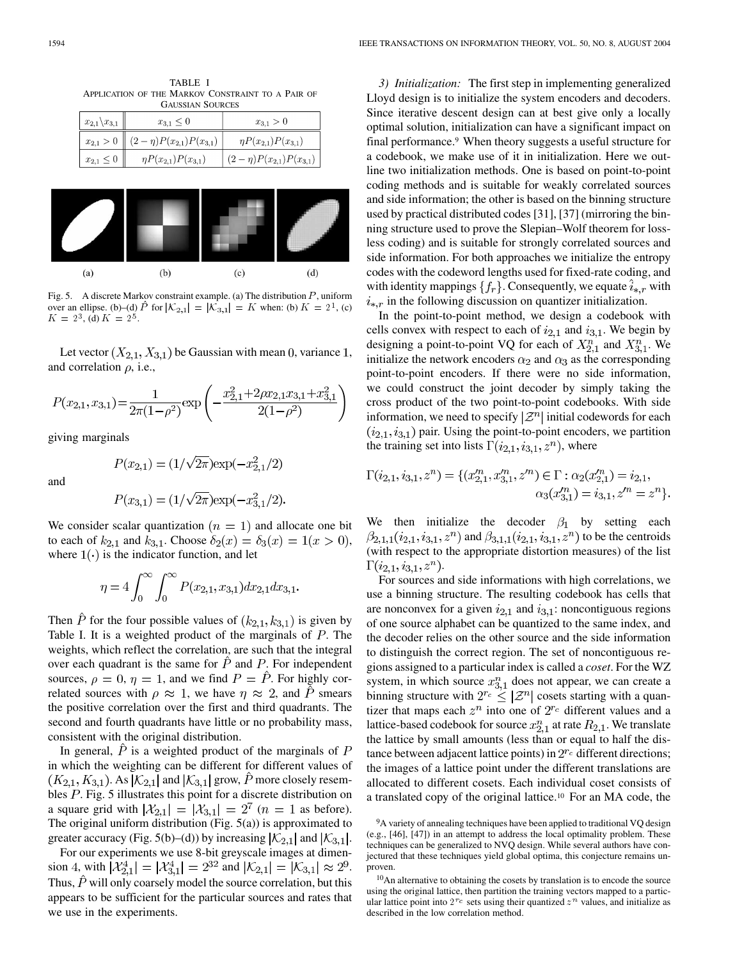TABLE I APPLICATION OF THE MARKOV CONSTRAINT TO A PAIR OF GAUSSIAN SOURCES

| $x_{2,1}\backslash x_{3,1}$ | $x_{3,1} \leq 0$                                     | $x_{3,1} > 0$                  |  |  |  |
|-----------------------------|------------------------------------------------------|--------------------------------|--|--|--|
|                             | $x_{2,1} > 0 \parallel (2-\eta)P(x_{2,1})P(x_{3,1})$ | $\eta P(x_{2,1}) P(x_{3,1})$   |  |  |  |
| $x_{2,1} \leq 0$            | $\eta P(x_{2,1}) P(x_{3,1})$                         | $(2-\eta)P(x_{2,1})P(x_{3,1})$ |  |  |  |



Fig. 5. A discrete Markov constraint example. (a) The distribution P, uniform (a) (b) (c) (d) (d)<br>Fig. 5. A discrete Markov constraint example. (a) The distribution P, uniform<br>over an ellipse. (b)–(d)  $\hat{P}$  for  $|K_{2,1}| = |K_{3,1}| = K$  when: (b)  $K = 2^1$ , (c)  $K = 2^3$ , (d)  $K = 2^5$ .

Let vector  $(X_{2,1}, X_{3,1})$  be Gaussian with mean 0, variance 1, and correlation  $\rho$ , i.e.,

$$
P(x_{2,1}, x_{3,1}) = \frac{1}{2\pi(1-\rho^2)} \exp\left(-\frac{x_{2,1}^2 + 2\rho x_{2,1} x_{3,1} + x_{3,1}^2}{2(1-\rho^2)}\right)
$$

giving marginals

$$
P(x_{2,1}) = (1/\sqrt{2\pi}) \exp(-x_{2,1}^2/2)
$$

and

$$
P(x_{3,1}) = (1/\sqrt{2\pi})\exp(-x_{3,1}^2/2).
$$

We consider scalar quantization  $(n = 1)$  and allocate one bit to each of  $k_{2,1}$  and  $k_{3,1}$ . Choose  $\delta_2(x) = \delta_3(x) = 1(x > 0)$ , where  $1(\cdot)$  is the indicator function, and let

$$
\eta = 4 \int_0^\infty \int_0^\infty P(x_{2,1}, x_{3,1}) dx_{2,1} dx_{3,1}.
$$

Then  $\hat{P}$  for the four possible values of  $(k_{2,1}, k_{3,1})$  is given by Table I. It is a weighted product of the marginals of  $P$ . The weights, which reflect the correlation, are such that the integral over each quadrant is the same for  $\hat{P}$  and  $P$ . For independent sources,  $\rho = 0$ ,  $\eta = 1$ , and we find  $P = \hat{P}$ . For highly correlated sources with  $\rho \approx 1$ , we have  $\eta \approx 2$ , and  $\ddot{P}$  smears the positive correlation over the first and third quadrants. The second and fourth quadrants have little or no probability mass, consistent with the original distribution.

In general,  $P$  is a weighted product of the marginals of  $P$ in which the weighting can be different for different values of  $(K_{2,1}, K_{3,1})$ . As  $|K_{2,1}|$  and  $|K_{3,1}|$  grow,  $\hat{P}$  more closely resembles  $P$ . Fig. 5 illustrates this point for a discrete distribution on a square grid with  $|\mathcal{X}_{2,1}| = |\mathcal{X}_{3,1}| = 2^7$   $(n = 1$  as before). The original uniform distribution (Fig. 5(a)) is approximated to greater accuracy (Fig. 5(b)–(d)) by increasing  $|\mathcal{K}_{2,1}|$  and  $|\mathcal{K}_{3,1}|$ .

For our experiments we use 8-bit greyscale images at dimension 4, with  $|\mathcal{X}_{2,1}^4| = |\mathcal{X}_{3,1}^4| = 2^{32}$  and  $|\mathcal{K}_{2,1}| = |\mathcal{K}_{3,1}| \approx 2^9$ . Thus,  $\ddot{P}$  will only coarsely model the source correlation, but this appears to be sufficient for the particular sources and rates that we use in the experiments.

*3) Initialization:* The first step in implementing generalized Lloyd design is to initialize the system encoders and decoders. Since iterative descent design can at best give only a locally optimal solution, initialization can have a significant impact on final performance.9 When theory suggests a useful structure for a codebook, we make use of it in initialization. Here we outline two initialization methods. One is based on point-to-point coding methods and is suitable for weakly correlated sources and side information; the other is based on the binning structure used by practical distributed codes [[31\]](#page-20-0), [[37\]](#page-20-0) (mirroring the binning structure used to prove the Slepian–Wolf theorem for lossless coding) and is suitable for strongly correlated sources and side information. For both approaches we initialize the entropy codes with the codeword lengths used for fixed-rate coding, and with identity mappings  $\{f_r\}$ . Consequently, we equate  $\hat{i}_{*,r}$  with  $i_{*,r}$  in the following discussion on quantizer initialization.

In the point-to-point method, we design a codebook with cells convex with respect to each of  $i_{2,1}$  and  $i_{3,1}$ . We begin by designing a point-to-point VQ for each of  $X_{2,1}^n$  and  $X_{3,1}^n$ . We initialize the network encoders  $\alpha_2$  and  $\alpha_3$  as the corresponding point-to-point encoders. If there were no side information, we could construct the joint decoder by simply taking the cross product of the two point-to-point codebooks. With side information, we need to specify  $|\mathcal{Z}^n|$  initial codewords for each  $(i_{2,1}, i_{3,1})$  pair. Using the point-to-point encoders, we partition the training set into lists  $\Gamma(i_{2,1}, i_{3,1}, z^n)$ , where

$$
\Gamma(i_{2,1}, i_{3,1}, z^n) = \{ (x_{2,1}^m, x_{3,1}^m, z^m) \in \Gamma : \alpha_2(x_{2,1}^m) = i_{2,1}, \alpha_3(x_{3,1}^m) = i_{3,1}, z^m = z^n \}.
$$

We then initialize the decoder  $\beta_1$  by setting each  $\beta_{2,1,1}(i_{2,1},i_{3,1},z^n)$  and  $\beta_{3,1,1}(i_{2,1},i_{3,1},z^n)$  to be the centroids (with respect to the appropriate distortion measures) of the list  $\Gamma(i_{2,1}, i_{3,1}, z^n)$ .

For sources and side informations with high correlations, we use a binning structure. The resulting codebook has cells that are nonconvex for a given  $i_{2,1}$  and  $i_{3,1}$ : noncontiguous regions of one source alphabet can be quantized to the same index, and the decoder relies on the other source and the side information to distinguish the correct region. The set of noncontiguous regions assigned to a particular index is called a *coset*. For the WZ system, in which source  $x_{3,1}^n$  does not appear, we can create a binning structure with  $2^{r_c} \leq |\mathcal{Z}^n|$  cosets starting with a quantizer that maps each  $z^n$  into one of  $2^{r_c}$  different values and a lattice-based codebook for source  $x_{2,1}^n$  at rate  $R_{2,1}$ . We translate the lattice by small amounts (less than or equal to half the distance between adjacent lattice points) in  $2^{r_c}$  different directions; the images of a lattice point under the different translations are allocated to different cosets. Each individual coset consists of a translated copy of the original lattice.10 For an MA code, the

<sup>&</sup>lt;sup>9</sup>A variety of annealing techniques have been applied to traditional VO design (e.g., [[46\]](#page-20-0), [[47\]](#page-20-0)) in an attempt to address the local optimality problem. These techniques can be generalized to NVQ design. While several authors have conjectured that these techniques yield global optima, this conjecture remains unproven.

<sup>10</sup>An alternative to obtaining the cosets by translation is to encode the source using the original lattice, then partition the training vectors mapped to a particular lattice point into  $2^{r_c}$  sets using their quantized  $z^n$  values, and initialize as described in the low correlation method.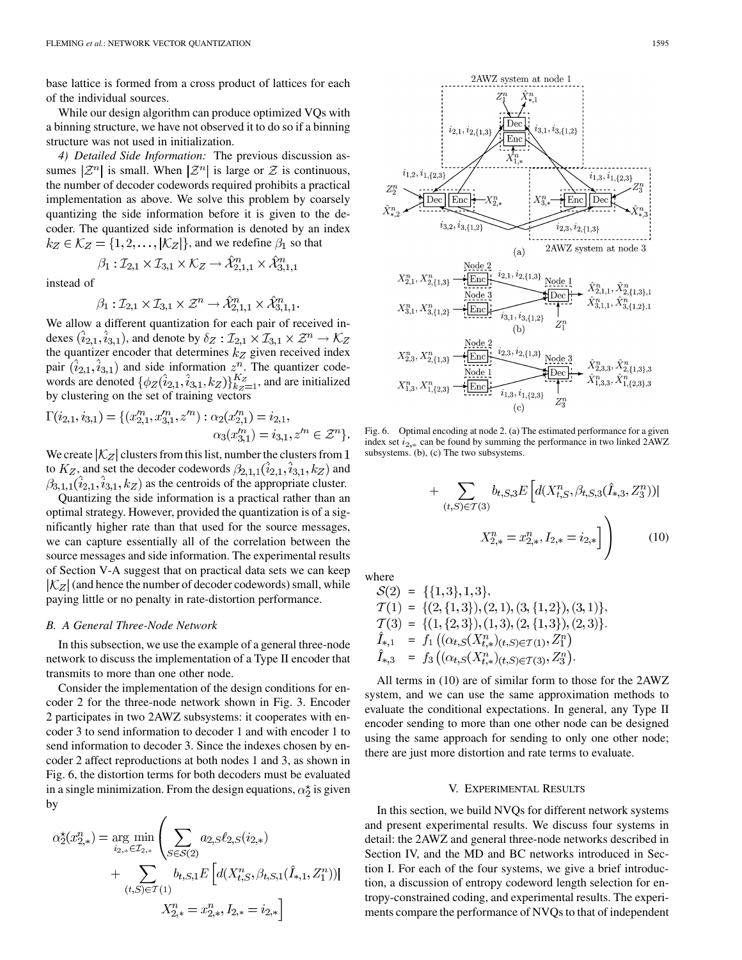base lattice is formed from a cross product of lattices for each of the individual sources.

While our design algorithm can produce optimized VQs with a binning structure, we have not observed it to do so if a binning structure was not used in initialization.

*4) Detailed Side Information:* The previous discussion assumes  $|\mathcal{Z}^n|$  is small. When  $|\mathcal{Z}^n|$  is large or  $\mathcal Z$  is continuous, the number of decoder codewords required prohibits a practical implementation as above. We solve this problem by coarsely quantizing the side information before it is given to the decoder. The quantized side information is denoted by an index  $k_Z \in \mathcal{K}_Z = \{1, 2, \dots, |\mathcal{K}_Z|\}$ , and we redefine  $\beta_1$  so that

$$
\beta_1: \mathcal{I}_{2,1} \times \mathcal{I}_{3,1} \times \mathcal{K}_Z \to \tilde{\mathcal{X}}_{2,1,1}^n \times \tilde{\mathcal{X}}_{3,1,1}^n
$$

instead of

$$
\beta_1: \mathcal{I}_{2,1} \times \mathcal{I}_{3,1} \times \mathcal{Z}^n \to \mathcal{X}_{2,1,1}^n \times \mathcal{X}_{3,1,1}^n.
$$

We allow a different quantization for each pair of received indexes  $(i_{2,1}, i_{3,1})$ , and denote by  $\delta_Z : \mathcal{I}_{2,1} \times \mathcal{I}_{3,1} \times \mathcal{Z}^n \to \mathcal{K}_Z$ the quantizer encoder that determines  $k_Z$  given received index pair  $(i_{2,1}, i_{3,1})$  and side information  $z^n$ . The quantizer codewords are denoted  $\{\phi_Z(i_{2,1}, i_{3,1}, k_Z)\}_{k_Z=1}^{KZ}$ , and are initialized by clustering on the set of training vectors

$$
\Gamma(i_{2,1}, i_{3,1}) = \{ (x_{2,1}^{\prime n}, x_{3,1}^{\prime n}, z^{\prime n}) : \alpha_2(x_{2,1}^{\prime n}) = i_{2,1}, \alpha_3(x_{3,1}^{\prime n}) = i_{3,1}, z^{\prime n} \in \mathcal{Z}^n \}.
$$

We create  $|K_Z|$  clusters from this list, number the clusters from 1 to  $K_Z$ , and set the decoder codewords  $\beta_{2,1,1}(\hat{i}_{2,1}, \hat{i}_{3,1}, k_Z)$  and  $\beta_{3,1,1}(\hat{i}_{2,1},\hat{i}_{3,1},k_Z)$  as the centroids of the appropriate cluster.

Quantizing the side information is a practical rather than an optimal strategy. However, provided the quantization is of a significantly higher rate than that used for the source messages, we can capture essentially all of the correlation between the source messages and side information. The experimental results of Section V-A suggest that on practical data sets we can keep  $|\mathcal{K}_Z|$  (and hence the number of decoder codewords) small, while paying little or no penalty in rate-distortion performance.

## *B. A General Three-Node Network*

In this subsection, we use the example of a general three-node network to discuss the implementation of a Type II encoder that transmits to more than one other node.

Consider the implementation of the design conditions for encoder 2 for the three-node network shown in Fig. 3. Encoder 2 participates in two 2AWZ subsystems: it cooperates with encoder 3 to send information to decoder 1 and with encoder 1 to send information to decoder 3. Since the indexes chosen by encoder 2 affect reproductions at both nodes 1 and 3, as shown in Fig. 6, the distortion terms for both decoders must be evaluated in a single minimization. From the design equations,  $\alpha_2^*$  is given by

$$
\alpha_2^{\star}(x_{2,*}^n) = \underset{i_{2,*} \in \mathcal{I}_{2,*}}{\arg \min} \left( \sum_{S \in S(2)} a_{2,S} \ell_{2,S}(i_{2,*}) + \sum_{(t,S) \in \mathcal{T}(1)} b_{t,S,1} E \left[ d(X_{t,S}^n, \beta_{t,S,1}(\hat{I}_{*,1}, Z_1^n)) \right] \right)
$$

$$
X_{2,*}^n = x_{2,*}^n, I_{2,*} = i_{2,*} \right]
$$



Fig. 6. Optimal encoding at node 2. (a) The estimated performance for a given index set  $i_{2,*}$  can be found by summing the performance in two linked 2AWZ subsystems. (b), (c) The two subsystems.

+ 
$$
\sum_{(t,S)\in\mathcal{T}(3)} b_{t,S,3} E\left[d(X_{t,S}^n, \beta_{t,S,3}(\hat{I}_{*,3}, Z_3^n))|\\X_{2,*}^n = x_{2,*}^n, I_{2,*} = i_{2,*}\right]
$$
 (10)

where

$$
S(2) = \{\{1,3\},1,3\},
$$
  
\n
$$
T(1) = \{(2,\{1,3\}), (2,1), (3,\{1,2\}), (3,1)\},
$$
  
\n
$$
T(3) = \{(1,\{2,3\}), (1,3), (2,\{1,3\}), (2,3)\}.
$$
  
\n
$$
\hat{I}_{*,1} = f_1((\alpha_{t,S}(X_{t,*}^n)_{(t,S)\in\mathcal{T}(1)}, Z_1^n))
$$
  
\n
$$
\hat{I}_{*,3} = f_3((\alpha_{t,S}(X_{t,*}^n)_{(t,S)\in\mathcal{T}(3)}, Z_3^n).
$$

All terms in (10) are of similar form to those for the 2AWZ system, and we can use the same approximation methods to evaluate the conditional expectations. In general, any Type II encoder sending to more than one other node can be designed using the same approach for sending to only one other node; there are just more distortion and rate terms to evaluate.

#### V. EXPERIMENTAL RESULTS

In this section, we build NVQs for different network systems and present experimental results. We discuss four systems in detail: the 2AWZ and general three-node networks described in Section IV, and the MD and BC networks introduced in Section I. For each of the four systems, we give a brief introduction, a discussion of entropy codeword length selection for entropy-constrained coding, and experimental results. The experiments compare the performance of NVQs to that of independent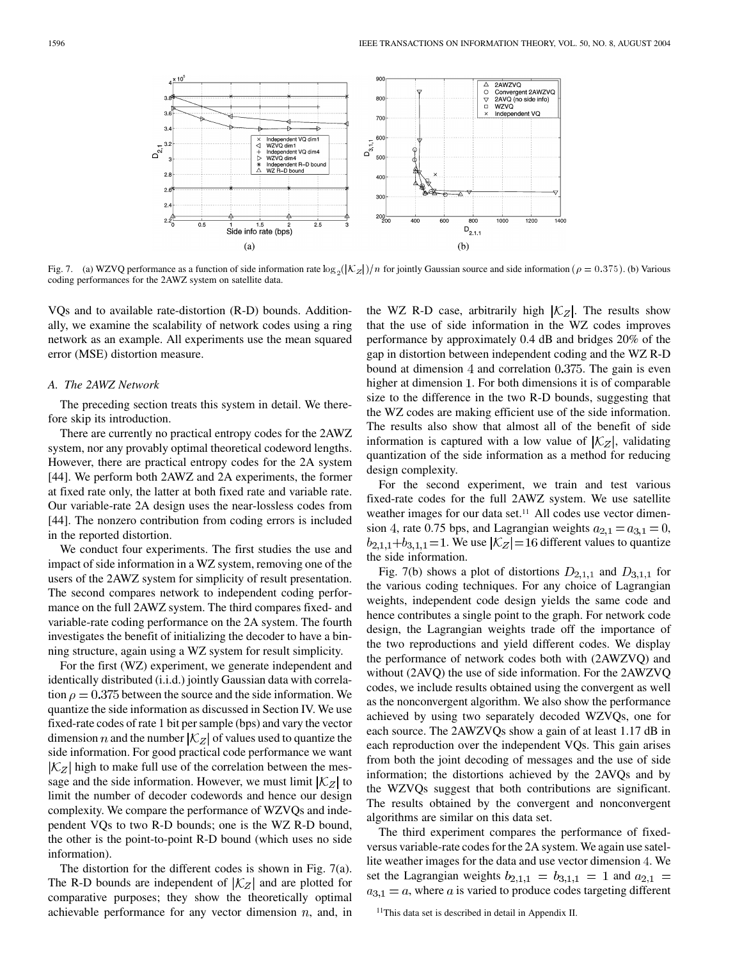

Fig. 7. (a) WZVQ performance as a function of side information rate  $\log_2(|K_Z|)/n$  for jointly Gaussian source and side information ( $\rho = 0.375$ ). (b) Various coding performances for the 2AWZ system on satellite data.

VQs and to available rate-distortion (R-D) bounds. Additionally, we examine the scalability of network codes using a ring network as an example. All experiments use the mean squared error (MSE) distortion measure.

## *A. The 2AWZ Network*

The preceding section treats this system in detail. We therefore skip its introduction.

There are currently no practical entropy codes for the 2AWZ system, nor any provably optimal theoretical codeword lengths. However, there are practical entropy codes for the 2A system [[44\]](#page-20-0). We perform both 2AWZ and 2A experiments, the former at fixed rate only, the latter at both fixed rate and variable rate. Our variable-rate 2A design uses the near-lossless codes from [[44\]](#page-20-0). The nonzero contribution from coding errors is included in the reported distortion.

We conduct four experiments. The first studies the use and impact of side information in a WZ system, removing one of the users of the 2AWZ system for simplicity of result presentation. The second compares network to independent coding performance on the full 2AWZ system. The third compares fixed- and variable-rate coding performance on the 2A system. The fourth investigates the benefit of initializing the decoder to have a binning structure, again using a WZ system for result simplicity.

For the first (WZ) experiment, we generate independent and identically distributed (i.i.d.) jointly Gaussian data with correlation  $\rho = 0.375$  between the source and the side information. We quantize the side information as discussed in Section IV. We use fixed-rate codes of rate 1 bit per sample (bps) and vary the vector dimension *n* and the number  $|\mathcal{K}_Z|$  of values used to quantize the side information. For good practical code performance we want  $|\mathcal{K}_Z|$  high to make full use of the correlation between the message and the side information. However, we must limit  $|\mathcal{K}_Z|$  to limit the number of decoder codewords and hence our design complexity. We compare the performance of WZVQs and independent VQs to two R-D bounds; one is the WZ R-D bound, the other is the point-to-point R-D bound (which uses no side information).

The distortion for the different codes is shown in Fig. 7(a). The R-D bounds are independent of  $|\mathcal{K}_Z|$  and are plotted for comparative purposes; they show the theoretically optimal achievable performance for any vector dimension  $n$ , and, in the WZ R-D case, arbitrarily high  $|\mathcal{K}_Z|$ . The results show that the use of side information in the WZ codes improves performance by approximately 0.4 dB and bridges 20% of the gap in distortion between independent coding and the WZ R-D bound at dimension  $4$  and correlation 0.375. The gain is even higher at dimension 1. For both dimensions it is of comparable size to the difference in the two R-D bounds, suggesting that the WZ codes are making efficient use of the side information. The results also show that almost all of the benefit of side information is captured with a low value of  $|\mathcal{K}_Z|$ , validating quantization of the side information as a method for reducing design complexity.

For the second experiment, we train and test various fixed-rate codes for the full 2AWZ system. We use satellite weather images for our data set.<sup>11</sup> All codes use vector dimension 4, rate 0.75 bps, and Lagrangian weights  $a_{2,1} = a_{3,1} = 0$ ,  $b_{2,1,1}+b_{3,1,1}=1$ . We use  $|\mathcal{K}_Z|=16$  different values to quantize the side information.

Fig. 7(b) shows a plot of distortions  $D_{2,1,1}$  and  $D_{3,1,1}$  for the various coding techniques. For any choice of Lagrangian weights, independent code design yields the same code and hence contributes a single point to the graph. For network code design, the Lagrangian weights trade off the importance of the two reproductions and yield different codes. We display the performance of network codes both with (2AWZVQ) and without (2AVQ) the use of side information. For the 2AWZVQ codes, we include results obtained using the convergent as well as the nonconvergent algorithm. We also show the performance achieved by using two separately decoded WZVQs, one for each source. The 2AWZVQs show a gain of at least 1.17 dB in each reproduction over the independent VQs. This gain arises from both the joint decoding of messages and the use of side information; the distortions achieved by the 2AVQs and by the WZVQs suggest that both contributions are significant. The results obtained by the convergent and nonconvergent algorithms are similar on this data set.

The third experiment compares the performance of fixedversus variable-rate codes for the 2A system. We again use satellite weather images for the data and use vector dimension 4. We set the Lagrangian weights  $b_{2,1,1} = b_{3,1,1} = 1$  and  $a_{2,1} =$  $a_{3,1} = a$ , where a is varied to produce codes targeting different

<sup>11</sup>This data set is described in detail in Appendix II.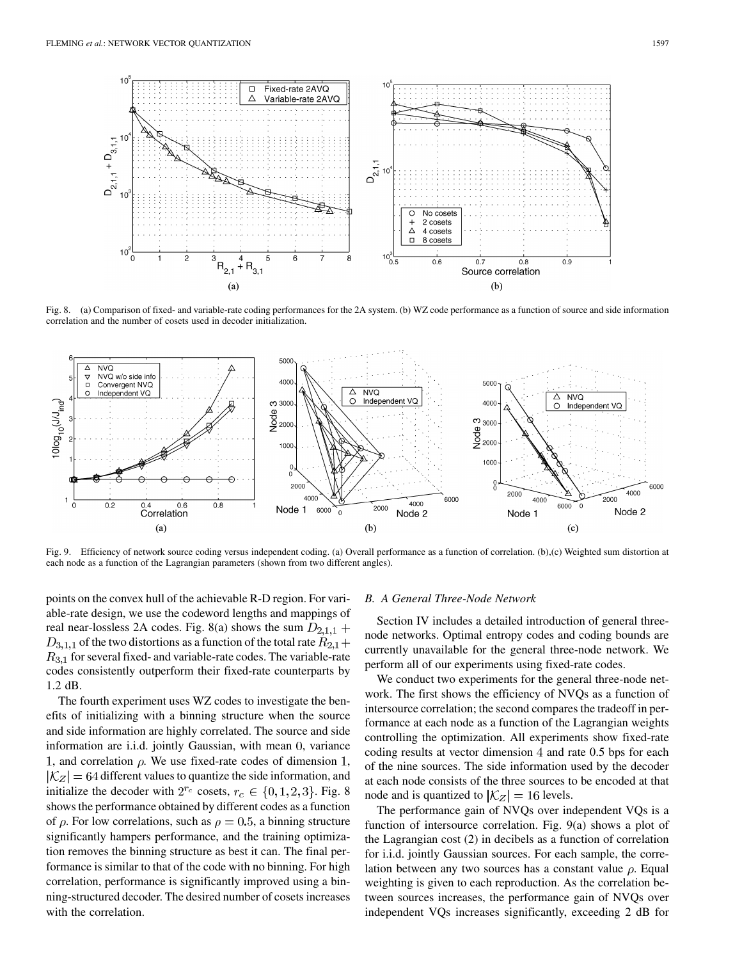

Fig. 8. (a) Comparison of fixed- and variable-rate coding performances for the 2A system. (b) WZ code performance as a function of source and side information correlation and the number of cosets used in decoder initialization.



Fig. 9. Efficiency of network source coding versus independent coding. (a) Overall performance as a function of correlation. (b),(c) Weighted sum distortion at each node as a function of the Lagrangian parameters (shown from two different angles).

points on the convex hull of the achievable R-D region. For variable-rate design, we use the codeword lengths and mappings of real near-lossless 2A codes. Fig. 8(a) shows the sum  $D_{2,1,1}$  +  $D_{3,1,1}$  of the two distortions as a function of the total rate  $R_{2,1}+$  $R_{3,1}$  for several fixed- and variable-rate codes. The variable-rate codes consistently outperform their fixed-rate counterparts by 1.2 dB.

The fourth experiment uses WZ codes to investigate the benefits of initializing with a binning structure when the source and side information are highly correlated. The source and side information are i.i.d. jointly Gaussian, with mean 0, variance 1, and correlation  $\rho$ . We use fixed-rate codes of dimension 1,  $|\mathcal{K}_Z| = 64$  different values to quantize the side information, and initialize the decoder with  $2^{r_c}$  cosets,  $r_c \in \{0, 1, 2, 3\}$ . Fig. 8 shows the performance obtained by different codes as a function of  $\rho$ . For low correlations, such as  $\rho = 0.5$ , a binning structure significantly hampers performance, and the training optimization removes the binning structure as best it can. The final performance is similar to that of the code with no binning. For high correlation, performance is significantly improved using a binning-structured decoder. The desired number of cosets increases with the correlation.

#### *B. A General Three-Node Network*

Section IV includes a detailed introduction of general threenode networks. Optimal entropy codes and coding bounds are currently unavailable for the general three-node network. We perform all of our experiments using fixed-rate codes.

We conduct two experiments for the general three-node network. The first shows the efficiency of NVQs as a function of intersource correlation; the second compares the tradeoff in performance at each node as a function of the Lagrangian weights controlling the optimization. All experiments show fixed-rate coding results at vector dimension  $4$  and rate 0.5 bps for each of the nine sources. The side information used by the decoder at each node consists of the three sources to be encoded at that node and is quantized to  $|\mathcal{K}_Z| = 16$  levels.

The performance gain of NVQs over independent VQs is a function of intersource correlation. Fig. 9(a) shows a plot of the Lagrangian cost (2) in decibels as a function of correlation for i.i.d. jointly Gaussian sources. For each sample, the correlation between any two sources has a constant value  $\rho$ . Equal weighting is given to each reproduction. As the correlation between sources increases, the performance gain of NVQs over independent VQs increases significantly, exceeding 2 dB for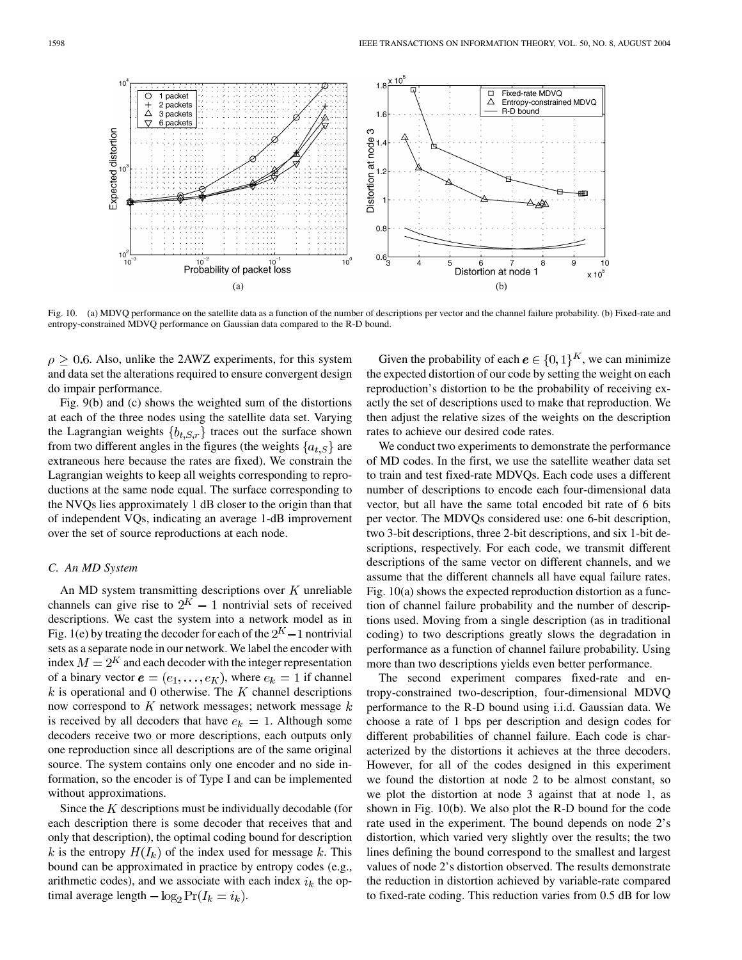Fig. 10. (a) MDVQ performance on the satellite data as a function of the number of descriptions per vector and the channel failure probability. (b) Fixed-rate and entropy-constrained MDVQ performance on Gaussian data compared to the R-D bound.

 $\rho \geq 0.6$ . Also, unlike the 2AWZ experiments, for this system and data set the alterations required to ensure convergent design do impair performance.

Fig. 9(b) and (c) shows the weighted sum of the distortions at each of the three nodes using the satellite data set. Varying the Lagrangian weights  ${b_{t,S,r}}$  traces out the surface shown from two different angles in the figures (the weights  $\{a_{t,S}\}\$ are extraneous here because the rates are fixed). We constrain the Lagrangian weights to keep all weights corresponding to reproductions at the same node equal. The surface corresponding to the NVQs lies approximately 1 dB closer to the origin than that of independent VQs, indicating an average 1-dB improvement over the set of source reproductions at each node.

#### *C. An MD System*

An MD system transmitting descriptions over  $K$  unreliable channels can give rise to  $2^K - 1$  nontrivial sets of received descriptions. We cast the system into a network model as in Fig. 1(e) by treating the decoder for each of the  $2<sup>K</sup> - 1$  nontrivial sets as a separate node in our network. We label the encoder with index  $M = 2<sup>K</sup>$  and each decoder with the integer representation of a binary vector  $e = (e_1, \ldots, e_K)$ , where  $e_k = 1$  if channel  $k$  is operational and 0 otherwise. The  $K$  channel descriptions now correspond to  $K$  network messages; network message  $k$ is received by all decoders that have  $e_k = 1$ . Although some decoders receive two or more descriptions, each outputs only one reproduction since all descriptions are of the same original source. The system contains only one encoder and no side information, so the encoder is of Type I and can be implemented without approximations.

Since the  $K$  descriptions must be individually decodable (for each description there is some decoder that receives that and only that description), the optimal coding bound for description k is the entropy  $H(I_k)$  of the index used for message k. This bound can be approximated in practice by entropy codes (e.g., arithmetic codes), and we associate with each index  $i_k$  the optimal average length  $-\log_2 \Pr(I_k = i_k)$ .

Given the probability of each  $e \in \{0,1\}^K$ , we can minimize the expected distortion of our code by setting the weight on each reproduction's distortion to be the probability of receiving exactly the set of descriptions used to make that reproduction. We then adjust the relative sizes of the weights on the description rates to achieve our desired code rates.

We conduct two experiments to demonstrate the performance of MD codes. In the first, we use the satellite weather data set to train and test fixed-rate MDVQs. Each code uses a different number of descriptions to encode each four-dimensional data vector, but all have the same total encoded bit rate of 6 bits per vector. The MDVQs considered use: one 6-bit description, two 3-bit descriptions, three 2-bit descriptions, and six 1-bit descriptions, respectively. For each code, we transmit different descriptions of the same vector on different channels, and we assume that the different channels all have equal failure rates. Fig. 10(a) shows the expected reproduction distortion as a function of channel failure probability and the number of descriptions used. Moving from a single description (as in traditional coding) to two descriptions greatly slows the degradation in performance as a function of channel failure probability. Using more than two descriptions yields even better performance.

The second experiment compares fixed-rate and entropy-constrained two-description, four-dimensional MDVQ performance to the R-D bound using i.i.d. Gaussian data. We choose a rate of 1 bps per description and design codes for different probabilities of channel failure. Each code is characterized by the distortions it achieves at the three decoders. However, for all of the codes designed in this experiment we found the distortion at node 2 to be almost constant, so we plot the distortion at node 3 against that at node 1, as shown in Fig. 10(b). We also plot the R-D bound for the code rate used in the experiment. The bound depends on node 2's distortion, which varied very slightly over the results; the two lines defining the bound correspond to the smallest and largest values of node 2's distortion observed. The results demonstrate the reduction in distortion achieved by variable-rate compared to fixed-rate coding. This reduction varies from 0.5 dB for low

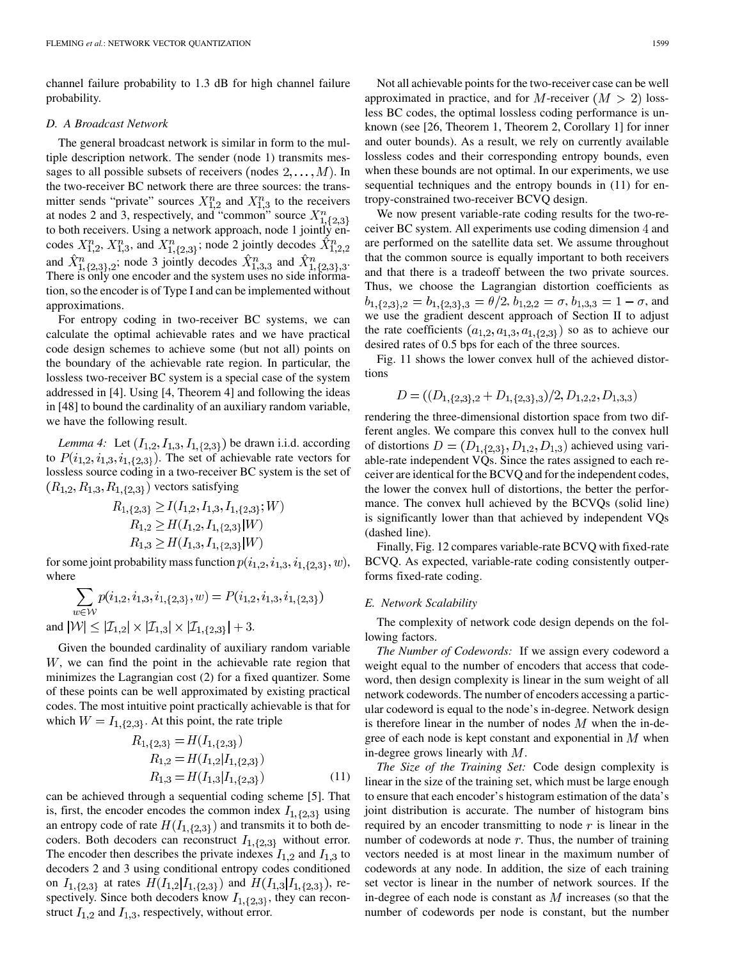channel failure probability to 1.3 dB for high channel failure probability.

#### *D. A Broadcast Network*

The general broadcast network is similar in form to the multiple description network. The sender (node 1) transmits messages to all possible subsets of receivers (nodes  $2, \ldots, M$ ). In the two-receiver BC network there are three sources: the transmitter sends "private" sources  $X_{1,2}^n$  and  $X_{1,3}^n$  to the receivers at nodes 2 and 3, respectively, and "common" source  $X_{1,\{2,3\}}^n$ to both receivers. Using a network approach, node 1 jointly encodes  $X_{1,2}^n$ ,  $X_{1,3}^n$ , and  $X_{1,\{2,3\}}^n$ ; node 2 jointly decodes  $\hat{X}_{1,2,2}^n$ and  $X_{1,2,33,2}^{n}$ ; node 3 jointly decodes  $X_{1,3,3}^{n}$  and  $X_{1,42,33,3}^{n}$ . There is only one encoder and the system uses no side information, so the encoder is of Type I and can be implemented without approximations.

For entropy coding in two-receiver BC systems, we can calculate the optimal achievable rates and we have practical code design schemes to achieve some (but not all) points on the boundary of the achievable rate region. In particular, the lossless two-receiver BC system is a special case of the system addressed in [[4\]](#page-19-0). Using [[4,](#page-19-0) Theorem 4] and following the ideas in [\[48](#page-20-0)] to bound the cardinality of an auxiliary random variable, we have the following result.

*Lemma 4:* Let  $(I_{1,2}, I_{1,3}, I_{1,\{2,3\}})$  be drawn i.i.d. according to  $P(i_{1,2}, i_{1,3}, i_{1,4,5})$ . The set of achievable rate vectors for lossless source coding in a two-receiver BC system is the set of  $(R_{1,2}, R_{1,3}, R_{1,\{2,3\}})$  vectors satisfying

$$
R_{1,\{2,3\}} \ge I(I_{1,2}, I_{1,3}, I_{1,\{2,3\}}; W)
$$
  
\n
$$
R_{1,2} \ge H(I_{1,2}, I_{1,\{2,3\}}|W)
$$
  
\n
$$
R_{1,3} \ge H(I_{1,3}, I_{1,\{2,3\}}|W)
$$

for some joint probability mass function  $p(i_{1,2}, i_{1,3}, i_{1,\{2,3\}}, w)$ , where

$$
\sum_{w \in \mathcal{W}} p(i_{1,2}, i_{1,3}, i_{1,\{2,3\}}, w) = P(i_{1,2}, i_{1,3}, i_{1,\{2,3\}})
$$
  
and  $|\mathcal{W}| \leq |\mathcal{I}_{1,2}| \times |\mathcal{I}_{1,3}| \times |\mathcal{I}_{1,\{2,3\}}| + 3.$ 

Given the bounded cardinality of auxiliary random variable  $W$ , we can find the point in the achievable rate region that minimizes the Lagrangian cost (2) for a fixed quantizer. Some of these points can be well approximated by existing practical codes. The most intuitive point practically achievable is that for which  $W = I_{1, \{2,3\}}$ . At this point, the rate triple

$$
R_{1,\{2,3\}} = H(I_{1,\{2,3\}})
$$
  
\n
$$
R_{1,2} = H(I_{1,2}|I_{1,\{2,3\}})
$$
  
\n
$$
R_{1,3} = H(I_{1,3}|I_{1,\{2,3\}})
$$
\n(11)

can be achieved through a sequential coding scheme [\[5](#page-19-0)]. That is, first, the encoder encodes the common index  $I_{1,\{2,3\}}$  using an entropy code of rate  $H(I_{1, \{2,3\}})$  and transmits it to both decoders. Both decoders can reconstruct  $I_{1,\{2,3\}}$  without error. The encoder then describes the private indexes  $I_{1,2}$  and  $I_{1,3}$  to decoders 2 and 3 using conditional entropy codes conditioned on  $I_{1,\{2,3\}}$  at rates  $H(I_{1,2}|I_{1,\{2,3\}})$  and  $H(I_{1,3}|I_{1,\{2,3\}})$ , respectively. Since both decoders know  $I_{1,\{2,3\}}$ , they can reconstruct  $I_{1,2}$  and  $I_{1,3}$ , respectively, without error.

Not all achievable points for the two-receiver case can be well approximated in practice, and for M-receiver  $(M > 2)$  lossless BC codes, the optimal lossless coding performance is unknown (see [[26,](#page-20-0) Theorem 1, Theorem 2, Corollary 1] for inner and outer bounds). As a result, we rely on currently available lossless codes and their corresponding entropy bounds, even when these bounds are not optimal. In our experiments, we use sequential techniques and the entropy bounds in  $(11)$  for entropy-constrained two-receiver BCVQ design.

We now present variable-rate coding results for the two-receiver BC system. All experiments use coding dimension 4 and are performed on the satellite data set. We assume throughout that the common source is equally important to both receivers and that there is a tradeoff between the two private sources. Thus, we choose the Lagrangian distortion coefficients as  $b_{1,\{2,3\},2} = b_{1,\{2,3\},3} = \theta/2, b_{1,2,2} = \sigma, b_{1,3,3} = 1 - \sigma$ , and we use the gradient descent approach of Section II to adjust the rate coefficients  $(a_{1,2}, a_{1,3}, a_{1,3,4})$  so as to achieve our desired rates of 0.5 bps for each of the three sources.

Fig. 11 shows the lower convex hull of the achieved distortions

$$
D = ((D_{1,\{2,3\},2} + D_{1,\{2,3\},3})/2, D_{1,2,2}, D_{1,3,3})
$$

rendering the three-dimensional distortion space from two different angles. We compare this convex hull to the convex hull of distortions  $D = (D_{1,\{2,3\}}, D_{1,2}, D_{1,3})$  achieved using variable-rate independent VQs. Since the rates assigned to each receiver are identical for the BCVQ and for the independent codes, the lower the convex hull of distortions, the better the performance. The convex hull achieved by the BCVQs (solid line) is significantly lower than that achieved by independent VQs (dashed line).

Finally, Fig. 12 compares variable-rate BCVQ with fixed-rate BCVQ. As expected, variable-rate coding consistently outperforms fixed-rate coding.

### *E. Network Scalability*

The complexity of network code design depends on the following factors.

*The Number of Codewords:* If we assign every codeword a weight equal to the number of encoders that access that codeword, then design complexity is linear in the sum weight of all network codewords. The number of encoders accessing a particular codeword is equal to the node's in-degree. Network design is therefore linear in the number of nodes  $M$  when the in-degree of each node is kept constant and exponential in  $M$  when in-degree grows linearly with  $M$ .

*The Size of the Training Set:* Code design complexity is linear in the size of the training set, which must be large enough to ensure that each encoder's histogram estimation of the data's joint distribution is accurate. The number of histogram bins required by an encoder transmitting to node  $r$  is linear in the number of codewords at node  $r$ . Thus, the number of training vectors needed is at most linear in the maximum number of codewords at any node. In addition, the size of each training set vector is linear in the number of network sources. If the in-degree of each node is constant as  $M$  increases (so that the number of codewords per node is constant, but the number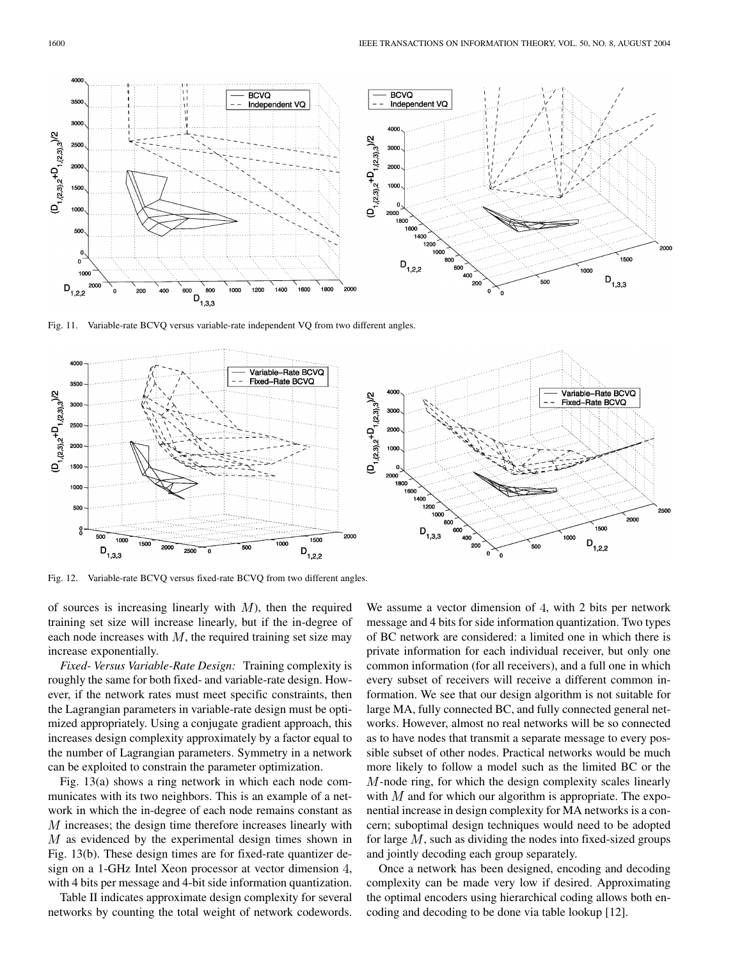

Fig. 11. Variable-rate BCVQ versus variable-rate independent VQ from two different angles.



Fig. 12. Variable-rate BCVQ versus fixed-rate BCVQ from two different angles.

of sources is increasing linearly with  $M$ ), then the required training set size will increase linearly, but if the in-degree of each node increases with  $M$ , the required training set size may increase exponentially.

*Fixed- Versus Variable-Rate Design:* Training complexity is roughly the same for both fixed- and variable-rate design. However, if the network rates must meet specific constraints, then the Lagrangian parameters in variable-rate design must be optimized appropriately. Using a conjugate gradient approach, this increases design complexity approximately by a factor equal to the number of Lagrangian parameters. Symmetry in a network can be exploited to constrain the parameter optimization.

Fig. 13(a) shows a ring network in which each node communicates with its two neighbors. This is an example of a network in which the in-degree of each node remains constant as  $M$  increases; the design time therefore increases linearly with  $M$  as evidenced by the experimental design times shown in Fig. 13(b). These design times are for fixed-rate quantizer design on a 1-GHz Intel Xeon processor at vector dimension  $4$ , with 4 bits per message and 4-bit side information quantization.

Table II indicates approximate design complexity for several networks by counting the total weight of network codewords.

We assume a vector dimension of  $4$ , with  $2$  bits per network message and 4 bits for side information quantization. Two types of BC network are considered: a limited one in which there is private information for each individual receiver, but only one common information (for all receivers), and a full one in which every subset of receivers will receive a different common information. We see that our design algorithm is not suitable for large MA, fully connected BC, and fully connected general networks. However, almost no real networks will be so connected as to have nodes that transmit a separate message to every possible subset of other nodes. Practical networks would be much more likely to follow a model such as the limited BC or the  $M$ -node ring, for which the design complexity scales linearly with  $M$  and for which our algorithm is appropriate. The exponential increase in design complexity for MA networks is a concern; suboptimal design techniques would need to be adopted for large  $M$ , such as dividing the nodes into fixed-sized groups and jointly decoding each group separately.

Once a network has been designed, encoding and decoding complexity can be made very low if desired. Approximating the optimal encoders using hierarchical coding allows both encoding and decoding to be done via table lookup [[12\]](#page-19-0).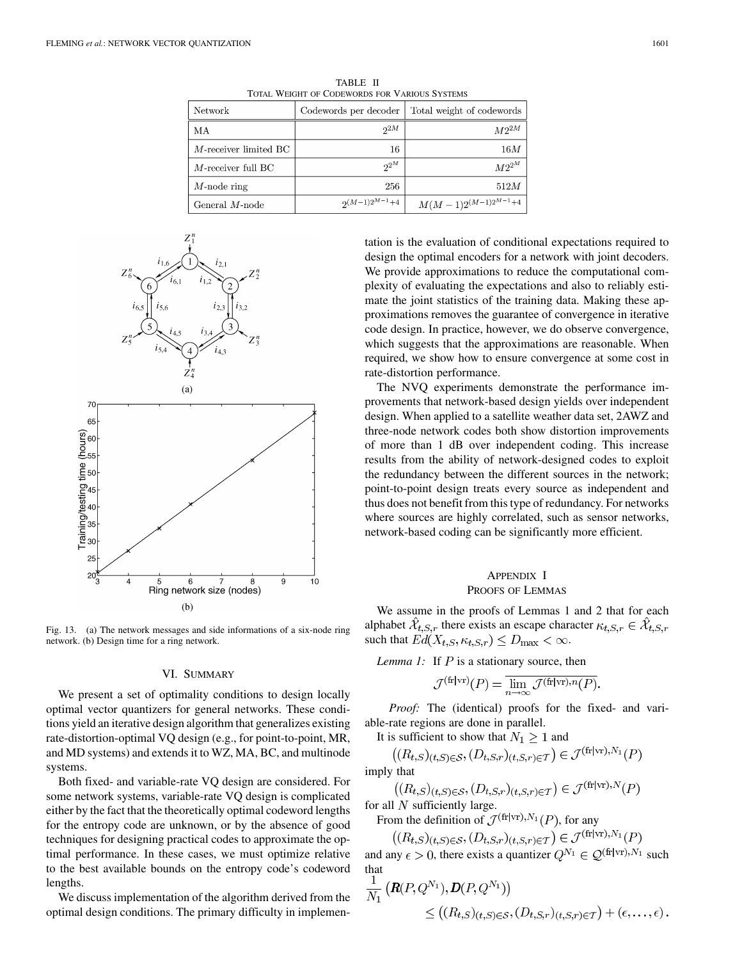| Network                  | Codewords per decoder | Total weight of codewords  |  |  |
|--------------------------|-----------------------|----------------------------|--|--|
| МA                       | 2M                    | $M2^{2M}$                  |  |  |
| $M$ -receiver limited BC | 16                    | 16M                        |  |  |
| $M$ -receiver full BC    | $2^{2M}$              | $M2^{2^M}$                 |  |  |
| $M$ -node ring           | 256                   | 512M                       |  |  |
| General <i>M</i> -node   | $2^{(M-1)2^{M-1}+4}$  | $M(M-1)2^{(M-1)2^{M-1}+4}$ |  |  |

TABLE II TOTAL WEIGHT OF CODEWORDS FOR VARIOUS SYSTEMS



Fig. 13. (a) The network messages and side informations of a six-node ring network. (b) Design time for a ring network.

#### VI. SUMMARY

We present a set of optimality conditions to design locally optimal vector quantizers for general networks. These conditions yield an iterative design algorithm that generalizes existing rate-distortion-optimal VQ design (e.g., for point-to-point, MR, and MD systems) and extends it to WZ, MA, BC, and multinode systems.

Both fixed- and variable-rate VQ design are considered. For some network systems, variable-rate VQ design is complicated either by the fact that the theoretically optimal codeword lengths for the entropy code are unknown, or by the absence of good techniques for designing practical codes to approximate the optimal performance. In these cases, we must optimize relative to the best available bounds on the entropy code's codeword lengths.

We discuss implementation of the algorithm derived from the optimal design conditions. The primary difficulty in implementation is the evaluation of conditional expectations required to design the optimal encoders for a network with joint decoders. We provide approximations to reduce the computational complexity of evaluating the expectations and also to reliably estimate the joint statistics of the training data. Making these approximations removes the guarantee of convergence in iterative code design. In practice, however, we do observe convergence, which suggests that the approximations are reasonable. When required, we show how to ensure convergence at some cost in rate-distortion performance.

The NVQ experiments demonstrate the performance improvements that network-based design yields over independent design. When applied to a satellite weather data set, 2AWZ and three-node network codes both show distortion improvements of more than 1 dB over independent coding. This increase results from the ability of network-designed codes to exploit the redundancy between the different sources in the network; point-to-point design treats every source as independent and thus does not benefit from this type of redundancy. For networks where sources are highly correlated, such as sensor networks, network-based coding can be significantly more efficient.

## APPENDIX I PROOFS OF LEMMAS

We assume in the proofs of Lemmas 1 and 2 that for each alphabet  $\hat{\mathcal{X}}_{t,S,r}$  there exists an escape character  $\kappa_{t,S,r} \in \hat{\mathcal{X}}_{t,S,r}$ such that  $Ed(X_{t,S}, \kappa_{t,S,r}) \leq D_{\max} < \infty$ .

*Lemma 1:* If  $P$  is a stationary source, then

$$
\mathcal{J}^{(\text{fr}|v)}(P) = \overline{\lim_{n \to \infty} \mathcal{J}^{(\text{fr}|v)}(P)}.
$$

*Proof:* The (identical) proofs for the fixed- and variable-rate regions are done in parallel.

It is sufficient to show that  $N_1 \ge 1$  and<br>  $((R_{t,S})(_{t,S)\in S}, (D_{t,S,r})(_{t,S,r)\in T}) \in \mathcal{J}^{(\text{fr}|vr), N_1}(P)$ 

imply that  $\big((R_{t,S})_{(t,S)\in\mathcal{S}},(D_{t,S,r})_{(t,S,r)\in\mathcal{T}}\big)\in\mathcal{J}^{(\text{fr}|\text{vr}),N}(P)$ 

for all  $N$  sufficiently large.

From the definition of  $\mathcal{J}^{(\text{fr}|v_r),N_1}(P)$ , for any<br>  $((R_{t,S})(_{t,S)\in S}, (D_{t,S,r})(_{t,S,r)\in T}) \in \mathcal{J}^{(\text{fr}|v_r),N_1}(P)$ and any  $\epsilon > 0$ , there exists a quantizer  $Q^{N_1} \in \mathcal{Q}^{(\text{fr}|\text{vr}), N_1}$  such that

$$
\frac{1}{N_1} \left( \mathbf{R}(P, Q^{N_1}), \mathbf{D}(P, Q^{N_1}) \right) \le \left( (R_{t,S})_{(t,S) \in \mathcal{S}}, (D_{t,S,r})_{(t,S,r) \in \mathcal{T}} \right) + (\epsilon, \dots, \epsilon).
$$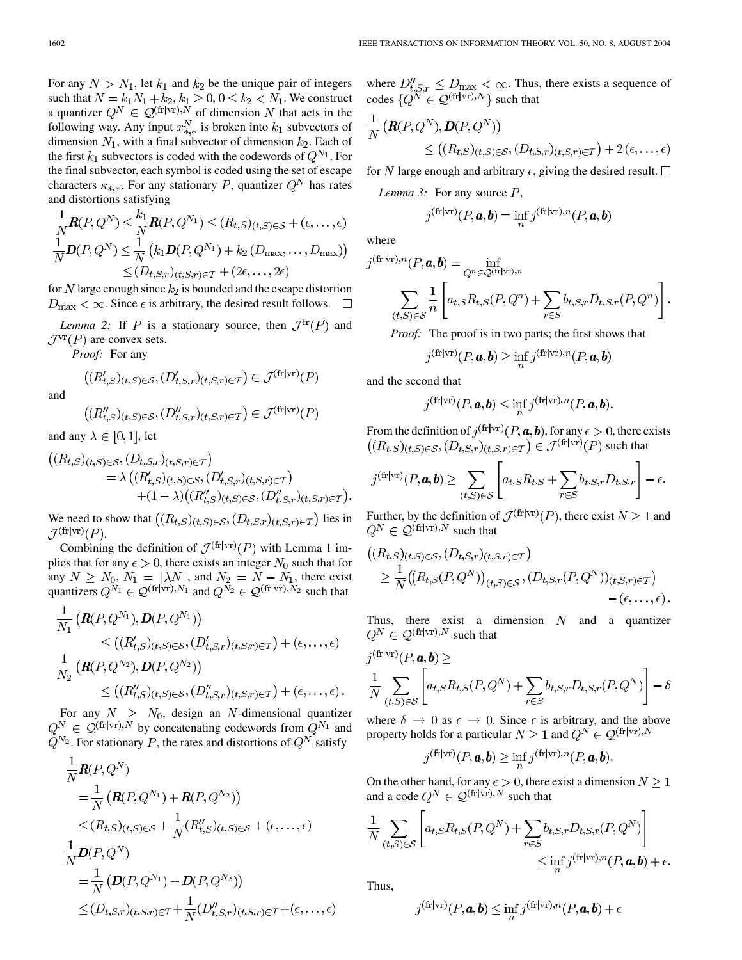For any  $N > N_1$ , let  $k_1$  and  $k_2$  be the unique pair of integers such that  $N=k_1N_1+k_2, k_1\geq 0, 0\leq k_2< N_1.$  We construct a quantizer  $Q^N \in \mathcal{Q}^{(\text{tr}|V_{\Gamma}),N}$  of dimension N that acts in the following way. Any input  $x_{*,*}^N$  is broken into  $k_1$  subvectors of dimension  $N_1$ , with a final subvector of dimension  $k_2$ . Each of the first  $k_1$  subvectors is coded with the codewords of  $Q^{N_1}$ . For the final subvector, each symbol is coded using the set of escape characters  $\kappa_{*,*}$ . For any stationary P, quantizer  $Q^N$  has rates and distortions satisfying

$$
\frac{1}{N}\mathbf{R}(P,Q^N) \leq \frac{k_1}{N}\mathbf{R}(P,Q^{N_1}) \leq (R_{t,S})_{(t,S)\in S} + (\epsilon, \dots, \epsilon)
$$
\n
$$
\frac{1}{N}\mathbf{D}(P,Q^N) \leq \frac{1}{N}\left(k_1\mathbf{D}(P,Q^{N_1}) + k_2\left(D_{\text{max}},\dots,D_{\text{max}}\right)\right)
$$
\n
$$
\leq (D_{t,S,r})_{(t,S,r)\in T} + (2\epsilon, \dots, 2\epsilon)
$$

for N large enough since  $k_2$  is bounded and the escape distortion  $D_{\text{max}} < \infty$ . Since  $\epsilon$  is arbitrary, the desired result follows.  $\Box$ 

*Lemma 2:* If P is a stationary source, then  $\mathcal{J}^{fr}(P)$  and  $\mathcal{J}^{\rm vr}(P)$  are convex sets.

*Proof:* For any

$$
((R'_{t,S})_{(t,S)\in S}, (D'_{t,S,r})_{(t,S,r)\in T}) \in \mathcal{J}^{(\text{fri})}(P)
$$

$$
\left( (R''_{t,S})_{(t,S)\in S}, (D''_{t,S,r})_{(t,S,r)\in T} \right) \in \mathcal{J}^{(\text{fr}|\text{vr})}(P)
$$

and any  $\lambda \in [0,1]$ , let

 $\lambda$  and  $\lambda$  and  $\lambda$ 

and

$$
\begin{aligned} \left( (R_{t,S})_{(t,S)\in S}, (D_{t,S,r})_{(t,S,r)\in T} \right) \\ &= \lambda \left( (R_{t,S}')_{(t,S)\in S}, (D_{t,S,r}')_{(t,S,r)\in T} \right) \\ &\quad + (1 - \lambda) \left( (R_{t,S}'')_{(t,S)\in S}, (D_{t,S,r}')_{(t,S,r)\in T} \right). \end{aligned}
$$

We need to show that  $((R_{t,S})_{(t,S)\in S}, (D_{t,S,r})_{(t,S,r)\in T})$  lies in  $\mathcal{J}^{(\text{fr}|\text{vr})}(P).$ 

Combining the definition of  $\mathcal{J}^{(fr|vr)}(P)$  with Lemma 1 implies that for any  $\epsilon > 0$ , there exists an integer  $N_0$  such that for any  $N \ge N_0$ ,  $N_1 = \lfloor \lambda N \rfloor$ , and  $N_2 = N - N_1$ , there exist quantizers  $Q^{N_1} \in \mathcal{Q}^{(\text{fr}|v_r), N_1}$  and  $Q^{N_2} \in \mathcal{Q}^{(\text{fr}|v_r), N_2}$  such that

$$
\frac{1}{N_1} \left( \mathbf{R}(P, Q^{N_1}), \mathbf{D}(P, Q^{N_1}) \right) \n\leq \left( (R'_{t,S})_{(t,S) \in S}, (D'_{t,S,r})_{(t,S,r) \in T} \right) + (\epsilon, \dots, \epsilon) \n\frac{1}{N_2} \left( \mathbf{R}(P, Q^{N_2}), \mathbf{D}(P, Q^{N_2}) \right) \n\leq \left( (R''_{t,S})_{(t,S) \in S}, (D''_{t,S,r})_{(t,S,r) \in T} \right) + (\epsilon, \dots, \epsilon).
$$

For any  $N \geq N_0$ , design an N-dimensional quantizer  $Q^N \in \mathcal{Q}^{(\text{fr}|v\text{r}),\overline{N}}$  by concatenating codewords from  $\hat{Q}^{N_1}$  and  $Q^{N_2}$ . For stationary P, the rates and distortions of  $Q^N$  satisfy

$$
\frac{1}{N} \mathbf{R}(P, Q^N) \n= \frac{1}{N} (\mathbf{R}(P, Q^{N_1}) + \mathbf{R}(P, Q^{N_2})) \n\leq (R_{t,S})_{(t,S) \in S} + \frac{1}{N} (R''_{t,S})_{(t,S) \in S} + (\epsilon, ..., \epsilon) \n\frac{1}{N} \mathbf{D}(P, Q^N) \n= \frac{1}{N} (\mathbf{D}(P, Q^{N_1}) + \mathbf{D}(P, Q^{N_2})) \n\leq (D_{t,S,r})_{(t,S,r) \in T} + \frac{1}{N} (D''_{t,S,r})_{(t,S,r) \in T} + (\epsilon, ..., \epsilon)
$$

where  $D''_{t,S,r} \leq D_{\text{max}} < \infty$ . Thus, there exists a sequence of codes  $\{Q^N \in \mathcal{Q}^{(\text{fr}|\text{vr}),N}\}\$  such that

$$
\frac{1}{N} \left( \mathbf{R}(P, Q^N), \mathbf{D}(P, Q^N) \right) \le \left( (R_{t,S})_{(t,S) \in S}, (D_{t,S,r})_{(t,S,r) \in T} \right) + 2 \left( \epsilon, \ldots, \epsilon \right)
$$

for N large enough and arbitrary  $\epsilon$ , giving the desired result.  $\Box$ 

*Lemma 3:* For any source  $P$ ,

$$
j^{(\text{fr}|v\mathbf{r})}(P,\boldsymbol{a},\boldsymbol{b}) = \inf_{n} j^{(\text{fr}|v\mathbf{r}),n}(P,\boldsymbol{a},\boldsymbol{b})
$$

where

 $\overline{(}$ 

$$
\sum_{(t,\mathbf{S})\in\mathcal{S}}\frac{1}{n}\left[a_{t,\mathbf{S}}R_{t,\mathbf{S}}(P,Q^n)+\sum_{r\in\mathcal{S}}b_{t,\mathbf{S},r}D_{t,\mathbf{S},r}(P,Q^n)\right]
$$

*Proof:* The proof is in two parts; the first shows that

$$
j^{(\text{fr}|\text{vr})}(P,\boldsymbol{a},\boldsymbol{b}) \ge \inf_n j^{(\text{fr}|\text{vr}),n}(P,\boldsymbol{a},\boldsymbol{b})
$$

and the second that

$$
f^{(\text{fr}|V)}(P,\boldsymbol{a},\boldsymbol{b}) \leq \inf_n f^{(\text{fr}|V)}(P,\boldsymbol{a},\boldsymbol{b}).
$$

From the definition of  $j^{(\text{fr}|v)}(P, a, b)$ , for any  $\epsilon > 0$ , there exists  $((R_{t,S})_{(t,S)\in\mathcal{S}}, (D_{t,S,r})_{(t,S,r)\in\mathcal{T}}) \in \mathcal{J}^{(\text{fr}|v)}(P)$  such that

$$
j^{(\text{fr}|\text{vr})}(P,\boldsymbol{a},\boldsymbol{b}) \geq \sum_{(t,S)\in\mathcal{S}} \left[ a_{t,S}R_{t,S} + \sum_{r\in S} b_{t,S,r}D_{t,S,r} \right] - \epsilon.
$$

Further, by the definition of  $\mathcal{J}^{(\text{fr}|\text{vr})}(P)$ , there exist  $N \geq 1$  and  $Q^N \in \mathcal{Q}^{(\text{fr}|v_r),N}$  such that

$$
(R_{t,S})_{(t,S)\in S}, (D_{t,S,r})_{(t,S,r)\in T})
$$
  
\n
$$
\geq \frac{1}{N}((R_{t,S}(P,Q^N))_{(t,S)\in S}, (D_{t,S,r}(P,Q^N))_{(t,S,r)\in T})
$$
  
\n
$$
-(\epsilon, \ldots, \epsilon).
$$

Thus, there exist a dimension  $N$  and a quantizer  $Q^N \in \mathcal{Q}^{(\text{fr}|V)}$  such that

$$
j^{(\text{fr}|\text{vr})}(P,\boldsymbol{a},\boldsymbol{b}) \geq
$$
  

$$
\frac{1}{N} \sum_{(t,S)\in\mathcal{S}} \left[ a_{t,S} R_{t,S}(P,Q^N) + \sum_{r\in S} b_{t,S,r} D_{t,S,r}(P,Q^N) \right] - \delta
$$

where  $\delta \rightarrow 0$  as  $\epsilon \rightarrow 0$ . Since  $\epsilon$  is arbitrary, and the above property holds for a particular  $N \geq 1$  and  $Q^N \in \mathcal{Q}^{(\text{fr}|v)}$ .

$$
j^{(\text{fr}|v\mathbf{r})}(P,\mathbf{a},\mathbf{b}) \geq \inf_{n} j^{(\text{fr}|v\mathbf{r}),n}(P,\mathbf{a},\mathbf{b}).
$$

On the other hand, for any  $\epsilon > 0$ , there exist a dimension  $N \ge 1$ and a code  $Q^N \in \mathcal{Q}^{(\text{fr}|v\mathbf{r}),N}$  such that

$$
\frac{1}{N} \sum_{(t,S)\in\mathcal{S}} \left[ a_{t,S} R_{t,S}(P,Q^N) + \sum_{r\in\mathcal{S}} b_{t,S,r} D_{t,S,r}(P,Q^N) \right] \leq \inf_{n} j^{(\text{fr}|\text{vr}),n}(P,\boldsymbol{a},\boldsymbol{b}) + \epsilon.
$$

Thus,

$$
j^{(\text{fr}|\text{vr})}(P,\pmb{a},\pmb{b})\leq \inf_n j^{(\text{fr}|\text{vr}),n}(P,\pmb{a},\pmb{b})+\epsilon
$$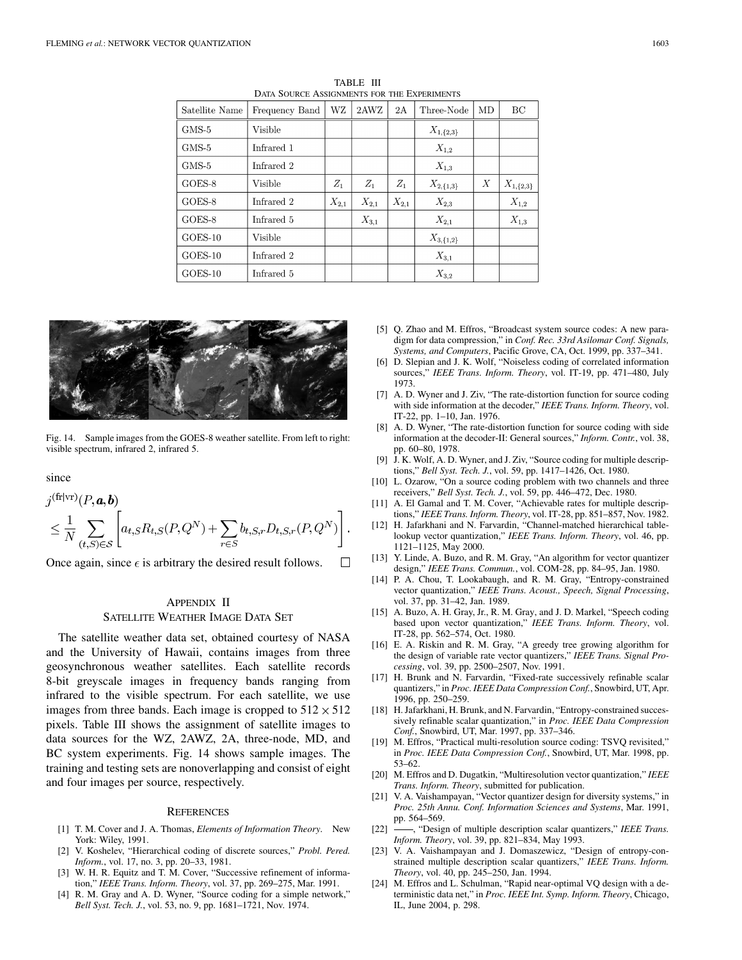<span id="page-19-0"></span>

| Satellite Name | Frequency Band | WZ        | 2AWZ      | 2A        | Three-Node      | MD | BC              |
|----------------|----------------|-----------|-----------|-----------|-----------------|----|-----------------|
| GMS-5          | Visible        |           |           |           | $X_{1,\{2,3\}}$ |    |                 |
| $GMS-5$        | Infrared 1     |           |           |           | $X_{1,2}$       |    |                 |
| GMS-5          | Infrared 2     |           |           |           | $X_{1,3}$       |    |                 |
| $GOES-8$       | Visible        | $Z_1$     | $Z_1$     | $Z_1$     | $X_{2,\{1,3\}}$ | Х  | $X_{1,\{2,3\}}$ |
| $GOES-8$       | Infrared 2     | $X_{2,1}$ | $X_{2,1}$ | $X_{2.1}$ | $X_{2,3}$       |    | $X_{1,2}$       |
| $GOES-8$       | Infrared 5     |           | $X_{3,1}$ |           | $X_{2,1}$       |    | $X_{1,3}$       |
| $GOES-10$      | Visible        |           |           |           | $X_{3,\{1,2\}}$ |    |                 |
| $GOES-10$      | Infrared 2     |           |           |           | $X_{3,1}$       |    |                 |
| $GOES-10$      | Infrared 5     |           |           |           | $X_{3,2}$       |    |                 |

TABLE III DATA SOURCE ASSIGNMENTS FOR THE EXPERIMENTS



Fig. 14. Sample images from the GOES-8 weather satellite. From left to right: visible spectrum, infrared 2, infrared 5.

since

$$
j^{(\text{fr}|\text{vr})}(P, \boldsymbol{a}, \boldsymbol{b})\n\leq \frac{1}{N} \sum_{(t,S)\in\mathcal{S}} \left[ a_{t,S} R_{t,S}(P, Q^N) + \sum_{r\in\mathcal{S}} b_{t,S,r} D_{t,S,r}(P, Q^N) \right].
$$

Once again, since  $\epsilon$  is arbitrary the desired result follows.  $\Box$ 

# APPENDIX II SATELLITE WEATHER IMAGE DATA SET

The satellite weather data set, obtained courtesy of NASA and the University of Hawaii, contains images from three geosynchronous weather satellites. Each satellite records 8-bit greyscale images in frequency bands ranging from infrared to the visible spectrum. For each satellite, we use images from three bands. Each image is cropped to  $512 \times 512$ pixels. Table III shows the assignment of satellite images to data sources for the WZ, 2AWZ, 2A, three-node, MD, and BC system experiments. Fig. 14 shows sample images. The training and testing sets are nonoverlapping and consist of eight and four images per source, respectively.

#### **REFERENCES**

- [1] T. M. Cover and J. A. Thomas, *Elements of Information Theory*. New York: Wiley, 1991.
- [2] V. Koshelev, "Hierarchical coding of discrete sources," *Probl. Pered. Inform.*, vol. 17, no. 3, pp. 20–33, 1981.
- [3] W. H. R. Equitz and T. M. Cover, "Successive refinement of information," *IEEE Trans. Inform. Theory*, vol. 37, pp. 269–275, Mar. 1991.
- [4] R. M. Gray and A. D. Wyner, "Source coding for a simple network," *Bell Syst. Tech. J.*, vol. 53, no. 9, pp. 1681–1721, Nov. 1974.
- [5] Q. Zhao and M. Effros, "Broadcast system source codes: A new paradigm for data compression," in *Conf. Rec. 33rd Asilomar Conf. Signals, Systems, and Computers*, Pacific Grove, CA, Oct. 1999, pp. 337–341.
- [6] D. Slepian and J. K. Wolf, "Noiseless coding of correlated information sources," *IEEE Trans. Inform. Theory*, vol. IT-19, pp. 471–480, July 1973.
- [7] A. D. Wyner and J. Ziv, "The rate-distortion function for source coding with side information at the decoder," *IEEE Trans. Inform. Theory*, vol. IT-22, pp. 1–10, Jan. 1976.
- [8] A. D. Wyner, "The rate-distortion function for source coding with side information at the decoder-II: General sources," *Inform. Contr.*, vol. 38, pp. 60–80, 1978.
- [9] J. K. Wolf, A. D. Wyner, and J. Ziv, "Source coding for multiple descriptions," *Bell Syst. Tech. J.*, vol. 59, pp. 1417–1426, Oct. 1980.
- [10] L. Ozarow, "On a source coding problem with two channels and three receivers," *Bell Syst. Tech. J.*, vol. 59, pp. 446–472, Dec. 1980.
- [11] A. El Gamal and T. M. Cover, "Achievable rates for multiple descriptions," *IEEE Trans. Inform. Theory*, vol. IT-28, pp. 851–857, Nov. 1982.
- [12] H. Jafarkhani and N. Farvardin, "Channel-matched hierarchical tablelookup vector quantization," *IEEE Trans. Inform. Theory*, vol. 46, pp. 1121–1125, May 2000.
- [13] Y. Linde, A. Buzo, and R. M. Gray, "An algorithm for vector quantizer design," *IEEE Trans. Commun.*, vol. COM-28, pp. 84–95, Jan. 1980.
- [14] P. A. Chou, T. Lookabaugh, and R. M. Gray, "Entropy-constrained vector quantization," *IEEE Trans. Acoust., Speech, Signal Processing*, vol. 37, pp. 31–42, Jan. 1989.
- [15] A. Buzo, A. H. Gray, Jr., R. M. Gray, and J. D. Markel, "Speech coding based upon vector quantization," *IEEE Trans. Inform. Theory*, vol. IT-28, pp. 562–574, Oct. 1980.
- [16] E. A. Riskin and R. M. Gray, "A greedy tree growing algorithm for the design of variable rate vector quantizers," *IEEE Trans. Signal Processing*, vol. 39, pp. 2500–2507, Nov. 1991.
- [17] H. Brunk and N. Farvardin, "Fixed-rate successively refinable scalar quantizers," in *Proc. IEEE Data Compression Conf.*, Snowbird, UT, Apr. 1996, pp. 250–259.
- [18] H. Jafarkhani, H. Brunk, and N. Farvardin, "Entropy-constrained successively refinable scalar quantization," in *Proc. IEEE Data Compression Conf.*, Snowbird, UT, Mar. 1997, pp. 337–346.
- [19] M. Effros, "Practical multi-resolution source coding: TSVQ revisited," in *Proc. IEEE Data Compression Conf.*, Snowbird, UT, Mar. 1998, pp. 53–62.
- [20] M. Effros and D. Dugatkin, "Multiresolution vector quantization," *IEEE Trans. Inform. Theory*, submitted for publication.
- [21] V. A. Vaishampayan, "Vector quantizer design for diversity systems," in *Proc. 25th Annu. Conf. Information Sciences and Systems*, Mar. 1991, pp. 564–569.
- [22]  $\rightarrow$ , "Design of multiple description scalar quantizers," *IEEE Trans. Inform. Theory*, vol. 39, pp. 821–834, May 1993.
- [23] V. A. Vaishampayan and J. Domaszewicz, "Design of entropy-constrained multiple description scalar quantizers," *IEEE Trans. Inform. Theory*, vol. 40, pp. 245–250, Jan. 1994.
- [24] M. Effros and L. Schulman, "Rapid near-optimal VQ design with a deterministic data net," in *Proc. IEEE Int. Symp. Inform. Theory*, Chicago, IL, June 2004, p. 298.